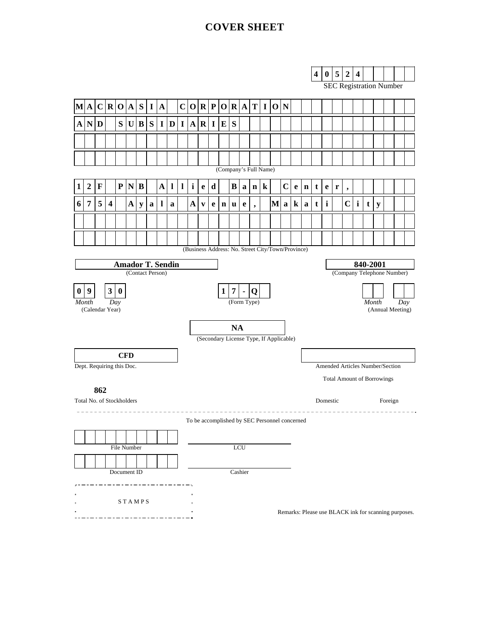## **COVER SHEET**



SEC Registration Number

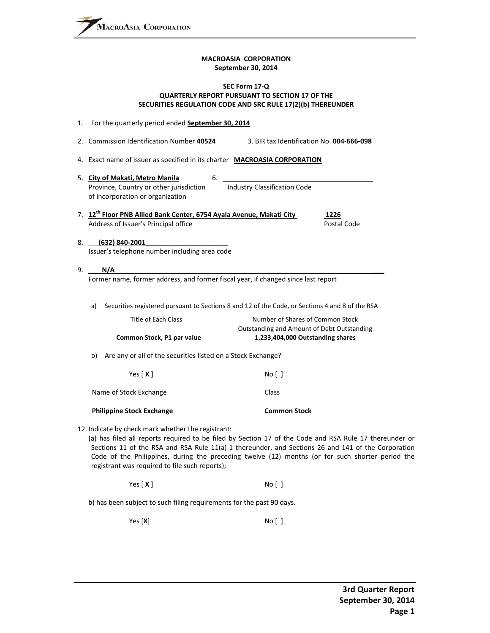#### **MACROASIA CORPORATION September 30, 2014**

#### **SEC Form 17‐Q QUARTERLY REPORT PURSUANT TO SECTION 17 OF THE SECURITIES REGULATION CODE AND SRC RULE 17(2)(b) THEREUNDER**

|    | 1. For the quarterly period ended September 30, 2014                                                                     |                                                                                                                                                                                                                                                                                                                  |
|----|--------------------------------------------------------------------------------------------------------------------------|------------------------------------------------------------------------------------------------------------------------------------------------------------------------------------------------------------------------------------------------------------------------------------------------------------------|
|    | 2. Commission Identification Number 40524                                                                                | 3. BIR tax Identification No. 004-666-098                                                                                                                                                                                                                                                                        |
|    | 4. Exact name of issuer as specified in its charter MACROASIA CORPORATION                                                |                                                                                                                                                                                                                                                                                                                  |
|    | 5. City of Makati, Metro Manila<br>6.<br>Province, Country or other jurisdiction<br>of incorporation or organization     | <b>Industry Classification Code</b>                                                                                                                                                                                                                                                                              |
|    | 7. 12 <sup>th</sup> Floor PNB Allied Bank Center, 6754 Ayala Avenue, Makati City<br>Address of Issuer's Principal office | 1226<br>Postal Code                                                                                                                                                                                                                                                                                              |
|    | (632) 840-2001<br>Issuer's telephone number including area code                                                          |                                                                                                                                                                                                                                                                                                                  |
| 9. | N/A                                                                                                                      |                                                                                                                                                                                                                                                                                                                  |
|    | a)<br>Title of Each Class                                                                                                | Securities registered pursuant to Sections 8 and 12 of the Code, or Sections 4 and 8 of the RSA<br>Number of Shares of Common Stock                                                                                                                                                                              |
|    |                                                                                                                          | Outstanding and Amount of Debt Outstanding                                                                                                                                                                                                                                                                       |
|    | Common Stock, P1 par value                                                                                               | 1,233,404,000 Outstanding shares                                                                                                                                                                                                                                                                                 |
|    | Are any or all of the securities listed on a Stock Exchange?<br>b)                                                       |                                                                                                                                                                                                                                                                                                                  |
|    | Yes $[X]$                                                                                                                | No [ ]                                                                                                                                                                                                                                                                                                           |
|    | Name of Stock Exchange                                                                                                   | <b>Class</b>                                                                                                                                                                                                                                                                                                     |
|    | <b>Philippine Stock Exchange</b>                                                                                         | <b>Common Stock</b>                                                                                                                                                                                                                                                                                              |
|    | 12. Indicate by check mark whether the registrant:<br>registrant was required to file such reports);                     | (a) has filed all reports required to be filed by Section 17 of the Code and RSA Rule 17 thereunder or<br>Sections 11 of the RSA and RSA Rule 11(a)-1 thereunder, and Sections 26 and 141 of the Corporation<br>Code of the Philippines, during the preceding twelve (12) months (or for such shorter period the |

Yes [ **X** ] No [ ]

b) has been subject to such filing requirements for the past 90 days.

Yes [**X**] No [ ]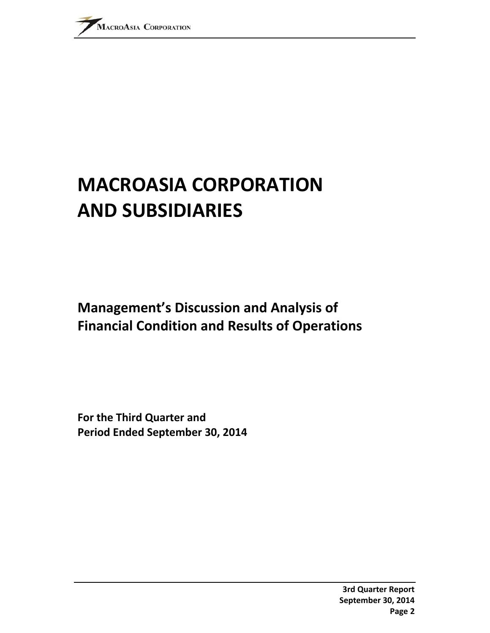# **MACROASIA CORPORATION AND SUBSIDIARIES**

# **Management's Discussion and Analysis of Financial Condition and Results of Operations**

**For the Third Quarter and Period Ended September 30, 2014**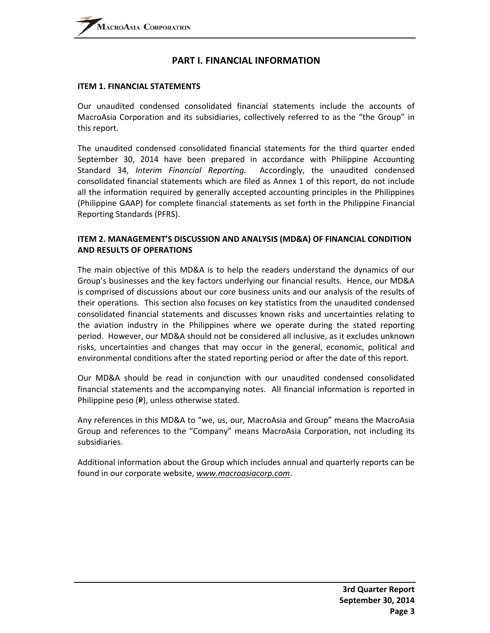## **PART I. FINANCIAL INFORMATION**

#### **ITEM 1. FINANCIAL STATEMENTS**

Our unaudited condensed consolidated financial statements include the accounts of MacroAsia Corporation and its subsidiaries, collectively referred to as the "the Group" in this report.

The unaudited condensed consolidated financial statements for the third quarter ended September 30, 2014 have been prepared in accordance with Philippine Accounting Standard 34, *Interim Financial Reporting.* Accordingly, the unaudited condensed consolidated financial statements which are filed as Annex 1 of this report, do not include all the information required by generally accepted accounting principles in the Philippines (Philippine GAAP) for complete financial statements as set forth in the Philippine Financial Reporting Standards (PFRS).

#### **ITEM 2. MANAGEMENT'S DISCUSSION AND ANALYSIS (MD&A) OF FINANCIAL CONDITION AND RESULTS OF OPERATIONS**

The main objective of this MD&A is to help the readers understand the dynamics of our Group's businesses and the key factors underlying our financial results. Hence, our MD&A is comprised of discussions about our core business units and our analysis of the results of their operations. This section also focuses on key statistics from the unaudited condensed consolidated financial statements and discusses known risks and uncertainties relating to the aviation industry in the Philippines where we operate during the stated reporting period. However, our MD&A should not be considered all inclusive, as it excludes unknown risks, uncertainties and changes that may occur in the general, economic, political and environmental conditions after the stated reporting period or after the date of this report.

Our MD&A should be read in conjunction with our unaudited condensed consolidated financial statements and the accompanying notes. All financial information is reported in Philippine peso  $(P)$ , unless otherwise stated.

Any references in this MD&A to "we, us, our, MacroAsia and Group" means the MacroAsia Group and references to the "Company" means MacroAsia Corporation, not including its subsidiaries.

Additional information about the Group which includes annual and quarterly reports can be found in our corporate website, *www.macroasiacorp.com*.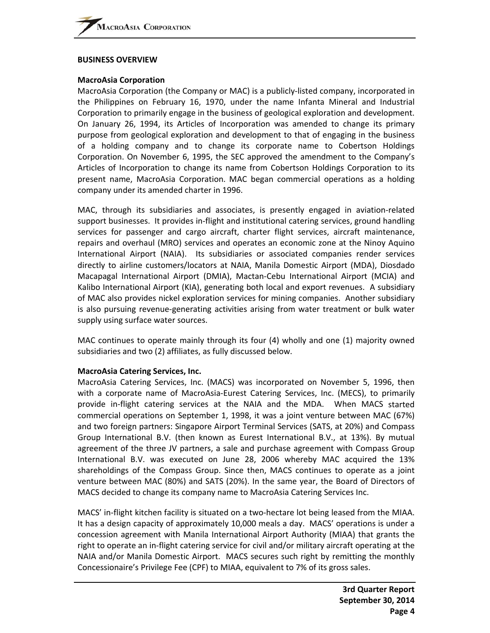#### **BUSINESS OVERVIEW**

#### **MacroAsia Corporation**

MacroAsia Corporation (the Company or MAC) is a publicly‐listed company, incorporated in the Philippines on February 16, 1970, under the name Infanta Mineral and Industrial Corporation to primarily engage in the business of geological exploration and development. On January 26, 1994, its Articles of Incorporation was amended to change its primary purpose from geological exploration and development to that of engaging in the business of a holding company and to change its corporate name to Cobertson Holdings Corporation. On November 6, 1995, the SEC approved the amendment to the Company's Articles of Incorporation to change its name from Cobertson Holdings Corporation to its present name, MacroAsia Corporation. MAC began commercial operations as a holding company under its amended charter in 1996.

MAC, through its subsidiaries and associates, is presently engaged in aviation‐related support businesses. It provides in‐flight and institutional catering services, ground handling services for passenger and cargo aircraft, charter flight services, aircraft maintenance, repairs and overhaul (MRO) services and operates an economic zone at the Ninoy Aquino International Airport (NAIA). Its subsidiaries or associated companies render services directly to airline customers/locators at NAIA, Manila Domestic Airport (MDA), Diosdado Macapagal International Airport (DMIA), Mactan‐Cebu International Airport (MCIA) and Kalibo International Airport (KIA), generating both local and export revenues. A subsidiary of MAC also provides nickel exploration services for mining companies. Another subsidiary is also pursuing revenue‐generating activities arising from water treatment or bulk water supply using surface water sources.

MAC continues to operate mainly through its four (4) wholly and one (1) majority owned subsidiaries and two (2) affiliates, as fully discussed below.

#### **MacroAsia Catering Services, Inc.**

MacroAsia Catering Services, Inc. (MACS) was incorporated on November 5, 1996, then with a corporate name of MacroAsia-Eurest Catering Services, Inc. (MECS), to primarily provide in‐flight catering services at the NAIA and the MDA. When MACS started commercial operations on September 1, 1998, it was a joint venture between MAC (67%) and two foreign partners: Singapore Airport Terminal Services (SATS, at 20%) and Compass Group International B.V. (then known as Eurest International B.V., at 13%). By mutual agreement of the three JV partners, a sale and purchase agreement with Compass Group International B.V. was executed on June 28, 2006 whereby MAC acquired the 13% shareholdings of the Compass Group. Since then, MACS continues to operate as a joint venture between MAC (80%) and SATS (20%). In the same year, the Board of Directors of MACS decided to change its company name to MacroAsia Catering Services Inc.

MACS' in-flight kitchen facility is situated on a two-hectare lot being leased from the MIAA. It has a design capacity of approximately 10,000 meals a day. MACS' operations is under a concession agreement with Manila International Airport Authority (MIAA) that grants the right to operate an in‐flight catering service for civil and/or military aircraft operating at the NAIA and/or Manila Domestic Airport. MACS secures such right by remitting the monthly Concessionaire's Privilege Fee (CPF) to MIAA, equivalent to 7% of its gross sales.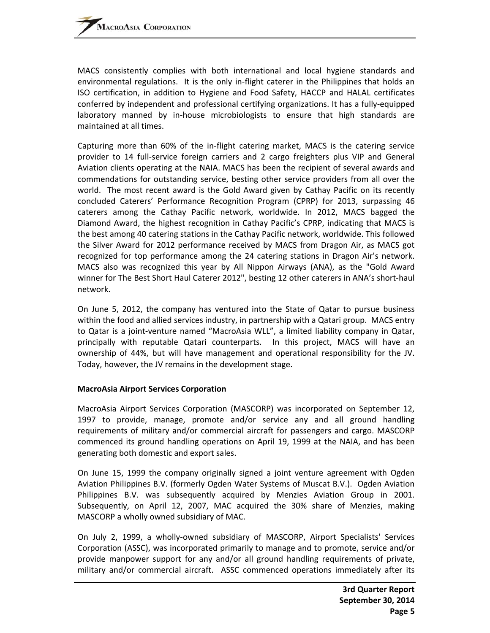MACS consistently complies with both international and local hygiene standards and environmental regulations. It is the only in-flight caterer in the Philippines that holds an ISO certification, in addition to Hygiene and Food Safety, HACCP and HALAL certificates conferred by independent and professional certifying organizations. It has a fully‐equipped laboratory manned by in‐house microbiologists to ensure that high standards are maintained at all times.

Capturing more than 60% of the in‐flight catering market, MACS is the catering service provider to 14 full-service foreign carriers and 2 cargo freighters plus VIP and General Aviation clients operating at the NAIA. MACS has been the recipient of several awards and commendations for outstanding service, besting other service providers from all over the world. The most recent award is the Gold Award given by Cathay Pacific on its recently concluded Caterers' Performance Recognition Program (CPRP) for 2013, surpassing 46 caterers among the Cathay Pacific network, worldwide. In 2012, MACS bagged the Diamond Award, the highest recognition in Cathay Pacific's CPRP, indicating that MACS is the best among 40 catering stations in the Cathay Pacific network, worldwide. This followed the Silver Award for 2012 performance received by MACS from Dragon Air, as MACS got recognized for top performance among the 24 catering stations in Dragon Air's network. MACS also was recognized this year by All Nippon Airways (ANA), as the "Gold Award winner for The Best Short Haul Caterer 2012", besting 12 other caterers in ANA's short‐haul network.

On June 5, 2012, the company has ventured into the State of Qatar to pursue business within the food and allied services industry, in partnership with a Qatari group. MACS entry to Qatar is a joint‐venture named "MacroAsia WLL", a limited liability company in Qatar, principally with reputable Qatari counterparts. In this project, MACS will have an ownership of 44%, but will have management and operational responsibility for the JV. Today, however, the JV remains in the development stage.

#### **MacroAsia Airport Services Corporation**

MacroAsia Airport Services Corporation (MASCORP) was incorporated on September 12, 1997 to provide, manage, promote and/or service any and all ground handling requirements of military and/or commercial aircraft for passengers and cargo. MASCORP commenced its ground handling operations on April 19, 1999 at the NAIA, and has been generating both domestic and export sales.

On June 15, 1999 the company originally signed a joint venture agreement with Ogden Aviation Philippines B.V. (formerly Ogden Water Systems of Muscat B.V.). Ogden Aviation Philippines B.V. was subsequently acquired by Menzies Aviation Group in 2001. Subsequently, on April 12, 2007, MAC acquired the 30% share of Menzies, making MASCORP a wholly owned subsidiary of MAC.

On July 2, 1999, a wholly‐owned subsidiary of MASCORP, Airport Specialists' Services Corporation (ASSC), was incorporated primarily to manage and to promote, service and/or provide manpower support for any and/or all ground handling requirements of private, military and/or commercial aircraft. ASSC commenced operations immediately after its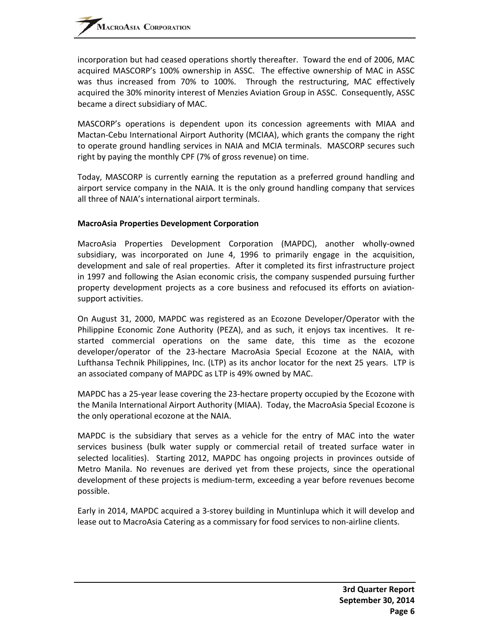incorporation but had ceased operations shortly thereafter. Toward the end of 2006, MAC acquired MASCORP's 100% ownership in ASSC. The effective ownership of MAC in ASSC was thus increased from 70% to 100%. Through the restructuring, MAC effectively acquired the 30% minority interest of Menzies Aviation Group in ASSC. Consequently, ASSC became a direct subsidiary of MAC.

MASCORP's operations is dependent upon its concession agreements with MIAA and Mactan‐Cebu International Airport Authority (MCIAA), which grants the company the right to operate ground handling services in NAIA and MCIA terminals. MASCORP secures such right by paying the monthly CPF (7% of gross revenue) on time.

Today, MASCORP is currently earning the reputation as a preferred ground handling and airport service company in the NAIA. It is the only ground handling company that services all three of NAIA's international airport terminals.

#### **MacroAsia Properties Development Corporation**

MacroAsia Properties Development Corporation (MAPDC), another wholly‐owned subsidiary, was incorporated on June 4, 1996 to primarily engage in the acquisition, development and sale of real properties. After it completed its first infrastructure project in 1997 and following the Asian economic crisis, the company suspended pursuing further property development projects as a core business and refocused its efforts on aviation‐ support activities.

On August 31, 2000, MAPDC was registered as an Ecozone Developer/Operator with the Philippine Economic Zone Authority (PEZA), and as such, it enjoys tax incentives. It restarted commercial operations on the same date, this time as the ecozone developer/operator of the 23‐hectare MacroAsia Special Ecozone at the NAIA, with Lufthansa Technik Philippines, Inc. (LTP) as its anchor locator for the next 25 years. LTP is an associated company of MAPDC as LTP is 49% owned by MAC.

MAPDC has a 25‐year lease covering the 23‐hectare property occupied by the Ecozone with the Manila International Airport Authority (MIAA). Today, the MacroAsia Special Ecozone is the only operational ecozone at the NAIA.

MAPDC is the subsidiary that serves as a vehicle for the entry of MAC into the water services business (bulk water supply or commercial retail of treated surface water in selected localities). Starting 2012, MAPDC has ongoing projects in provinces outside of Metro Manila. No revenues are derived yet from these projects, since the operational development of these projects is medium‐term, exceeding a year before revenues become possible.

Early in 2014, MAPDC acquired a 3‐storey building in Muntinlupa which it will develop and lease out to MacroAsia Catering as a commissary for food services to non‐airline clients.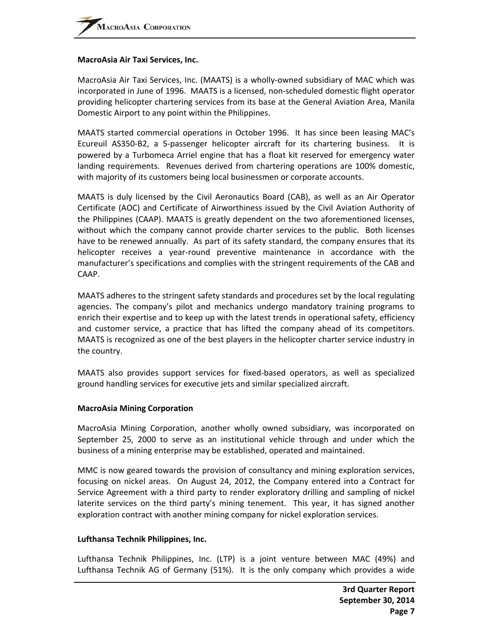#### **MacroAsia Air Taxi Services, Inc.**

MacroAsia Air Taxi Services, Inc. (MAATS) is a wholly‐owned subsidiary of MAC which was incorporated in June of 1996. MAATS is a licensed, non‐scheduled domestic flight operator providing helicopter chartering services from its base at the General Aviation Area, Manila Domestic Airport to any point within the Philippines.

MAATS started commercial operations in October 1996. It has since been leasing MAC's Ecureuil AS350‐B2, a 5‐passenger helicopter aircraft for its chartering business. It is powered by a Turbomeca Arriel engine that has a float kit reserved for emergency water landing requirements. Revenues derived from chartering operations are 100% domestic, with majority of its customers being local businessmen or corporate accounts.

MAATS is duly licensed by the Civil Aeronautics Board (CAB), as well as an Air Operator Certificate (AOC) and Certificate of Airworthiness issued by the Civil Aviation Authority of the Philippines (CAAP). MAATS is greatly dependent on the two aforementioned licenses, without which the company cannot provide charter services to the public. Both licenses have to be renewed annually. As part of its safety standard, the company ensures that its helicopter receives a year-round preventive maintenance in accordance with the manufacturer's specifications and complies with the stringent requirements of the CAB and CAAP.

MAATS adheres to the stringent safety standards and procedures set by the local regulating agencies. The company's pilot and mechanics undergo mandatory training programs to enrich their expertise and to keep up with the latest trends in operational safety, efficiency and customer service, a practice that has lifted the company ahead of its competitors. MAATS is recognized as one of the best players in the helicopter charter service industry in the country.

MAATS also provides support services for fixed‐based operators, as well as specialized ground handling services for executive jets and similar specialized aircraft.

#### **MacroAsia Mining Corporation**

MacroAsia Mining Corporation, another wholly owned subsidiary, was incorporated on September 25, 2000 to serve as an institutional vehicle through and under which the business of a mining enterprise may be established, operated and maintained.

MMC is now geared towards the provision of consultancy and mining exploration services, focusing on nickel areas. On August 24, 2012, the Company entered into a Contract for Service Agreement with a third party to render exploratory drilling and sampling of nickel laterite services on the third party's mining tenement. This year, it has signed another exploration contract with another mining company for nickel exploration services.

#### **Lufthansa Technik Philippines, Inc.**

Lufthansa Technik Philippines, Inc. (LTP) is a joint venture between MAC (49%) and Lufthansa Technik AG of Germany (51%). It is the only company which provides a wide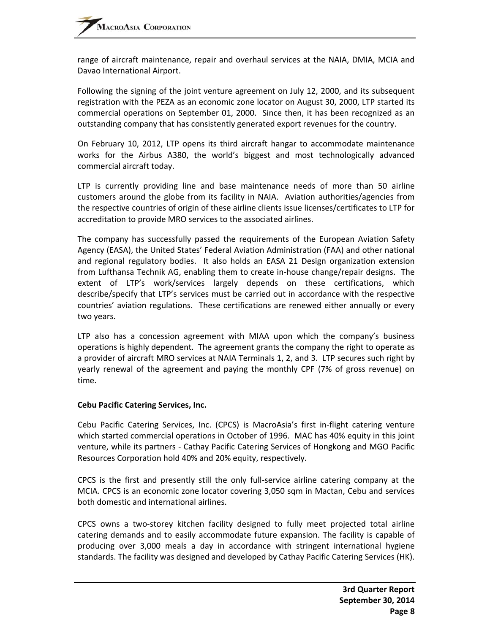range of aircraft maintenance, repair and overhaul services at the NAIA, DMIA, MCIA and Davao International Airport.

Following the signing of the joint venture agreement on July 12, 2000, and its subsequent registration with the PEZA as an economic zone locator on August 30, 2000, LTP started its commercial operations on September 01, 2000. Since then, it has been recognized as an outstanding company that has consistently generated export revenues for the country.

On February 10, 2012, LTP opens its third aircraft hangar to accommodate maintenance works for the Airbus A380, the world's biggest and most technologically advanced commercial aircraft today.

LTP is currently providing line and base maintenance needs of more than 50 airline customers around the globe from its facility in NAIA. Aviation authorities/agencies from the respective countries of origin of these airline clients issue licenses/certificates to LTP for accreditation to provide MRO services to the associated airlines.

The company has successfully passed the requirements of the European Aviation Safety Agency (EASA), the United States' Federal Aviation Administration (FAA) and other national and regional regulatory bodies. It also holds an EASA 21 Design organization extension from Lufthansa Technik AG, enabling them to create in-house change/repair designs. The extent of LTP's work/services largely depends on these certifications, which describe/specify that LTP's services must be carried out in accordance with the respective countries' aviation regulations. These certifications are renewed either annually or every two years.

LTP also has a concession agreement with MIAA upon which the company's business operations is highly dependent. The agreement grants the company the right to operate as a provider of aircraft MRO services at NAIA Terminals 1, 2, and 3. LTP secures such right by yearly renewal of the agreement and paying the monthly CPF (7% of gross revenue) on time.

#### **Cebu Pacific Catering Services, Inc.**

Cebu Pacific Catering Services, Inc. (CPCS) is MacroAsia's first in‐flight catering venture which started commercial operations in October of 1996. MAC has 40% equity in this joint venture, while its partners ‐ Cathay Pacific Catering Services of Hongkong and MGO Pacific Resources Corporation hold 40% and 20% equity, respectively.

CPCS is the first and presently still the only full‐service airline catering company at the MCIA. CPCS is an economic zone locator covering 3,050 sqm in Mactan, Cebu and services both domestic and international airlines.

CPCS owns a two‐storey kitchen facility designed to fully meet projected total airline catering demands and to easily accommodate future expansion. The facility is capable of producing over 3,000 meals a day in accordance with stringent international hygiene standards. The facility was designed and developed by Cathay Pacific Catering Services (HK).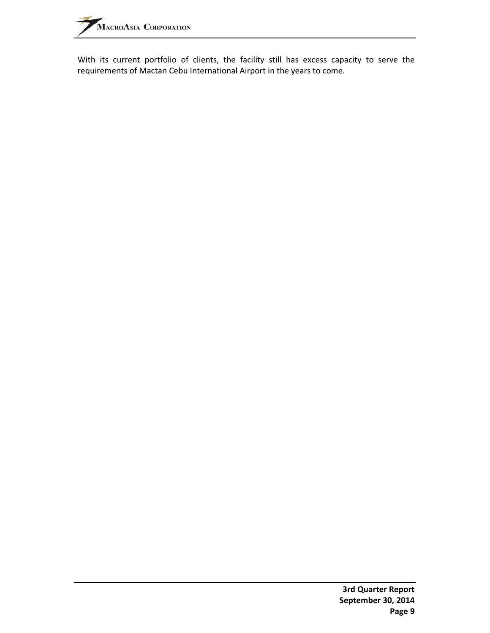With its current portfolio of clients, the facility still has excess capacity to serve the requirements of Mactan Cebu International Airport in the years to come.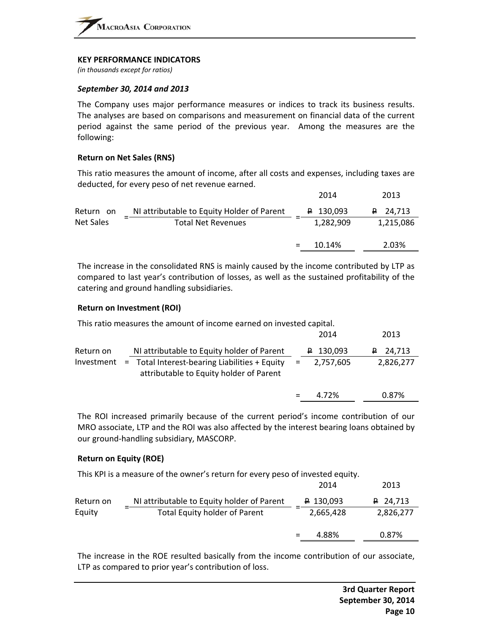#### **KEY PERFORMANCE INDICATORS**

*(in thousands except for ratios)*

#### *September 30, 2014 and 2013*

The Company uses major performance measures or indices to track its business results. The analyses are based on comparisons and measurement on financial data of the current period against the same period of the previous year. Among the measures are the following:

#### **Return on Net Sales (RNS)**

This ratio measures the amount of income, after all costs and expenses, including taxes are deducted, for every peso of net revenue earned.

|           |                                            | 2014               | 2013            |
|-----------|--------------------------------------------|--------------------|-----------------|
| Return on | NI attributable to Equity Holder of Parent | $\uparrow$ 130,093 | $\sqrt{24,713}$ |
| Net Sales | <b>Total Net Revenues</b>                  | 1,282,909          | 1,215,086       |
|           |                                            | 10.14%             | 2.03%           |

The increase in the consolidated RNS is mainly caused by the income contributed by LTP as compared to last year's contribution of losses, as well as the sustained profitability of the catering and ground handling subsidiaries.

#### **Return on Investment (ROI)**

This ratio measures the amount of income earned on invested capital.

|            |                                                                                            |     | 2014               | 2013         |
|------------|--------------------------------------------------------------------------------------------|-----|--------------------|--------------|
| Return on  | NI attributable to Equity holder of Parent                                                 |     | $\sqrt{2}$ 130,093 | $P = 24,713$ |
| Investment | $=$ Total Interest-bearing Liabilities + Equity<br>attributable to Equity holder of Parent | $=$ | 2,757,605          | 2,826,277    |
|            |                                                                                            |     | 4.72%              | 0.87%        |
|            |                                                                                            |     |                    |              |

The ROI increased primarily because of the current period's income contribution of our MRO associate, LTP and the ROI was also affected by the interest bearing loans obtained by our ground‐handling subsidiary, MASCORP.

#### **Return on Equity (ROE)**

This KPI is a measure of the owner's return for every peso of invested equity.

| Return on | NI attributable to Equity holder of Parent |   | $\uparrow$ 130,093 | $P$ 24,713 |
|-----------|--------------------------------------------|---|--------------------|------------|
| Equity    | <b>Total Equity holder of Parent</b>       | - | 2,665,428          | 2,826,277  |
|           |                                            |   | 4.88%              | 0.87%      |

The increase in the ROE resulted basically from the income contribution of our associate, LTP as compared to prior year's contribution of loss.

2014 2013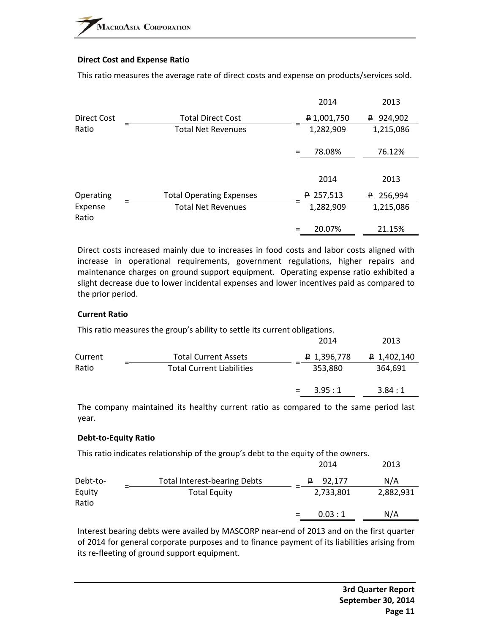#### **Direct Cost and Expense Ratio**

This ratio measures the average rate of direct costs and expense on products/services sold.

|                  |                                 | 2014                  | 2013          |
|------------------|---------------------------------|-----------------------|---------------|
| Direct Cost      | <b>Total Direct Cost</b>        | $\bigoplus$ 1,001,750 | 924,902<br>₽. |
| Ratio            | <b>Total Net Revenues</b>       | 1,282,909             | 1,215,086     |
|                  |                                 | 78.08%<br>$=$         | 76.12%        |
|                  |                                 |                       |               |
|                  |                                 | 2014                  | 2013          |
| Operating        | <b>Total Operating Expenses</b> | <del>₽</del> 257,513  | 256,994<br>₽. |
| Expense<br>Ratio | <b>Total Net Revenues</b>       | 1,282,909             | 1,215,086     |
|                  |                                 | 20.07%<br>$=$         | 21.15%        |

Direct costs increased mainly due to increases in food costs and labor costs aligned with increase in operational requirements, government regulations, higher repairs and maintenance charges on ground support equipment. Operating expense ratio exhibited a slight decrease due to lower incidental expenses and lower incentives paid as compared to the prior period.

#### **Current Ratio**

This ratio measures the group's ability to settle its current obligations.

|         |                                  | 2014          | 2013                 |
|---------|----------------------------------|---------------|----------------------|
| Current | <b>Total Current Assets</b>      | 4,396,778     | $\sqrt{2}$ 1,402,140 |
| Ratio   | <b>Total Current Liabilities</b> | 353,880       | 364,691              |
|         |                                  | 3.95:1<br>$=$ | 3.84:1               |
|         |                                  |               |                      |

The company maintained its healthy current ratio as compared to the same period last year.

#### **Debt‐to‐Equity Ratio**

This ratio indicates relationship of the group's debt to the equity of the owners.

|                 |                                     | 2014          | 2013      |
|-----------------|-------------------------------------|---------------|-----------|
| Debt-to-        | <b>Total Interest-bearing Debts</b> | 92.177<br>₽   | N/A       |
| Equity<br>Ratio | <b>Total Equity</b>                 | 2,733,801     | 2,882,931 |
|                 |                                     | 0.03:1<br>$=$ | N/A       |

Interest bearing debts were availed by MASCORP near‐end of 2013 and on the first quarter of 2014 for general corporate purposes and to finance payment of its liabilities arising from its re-fleeting of ground support equipment.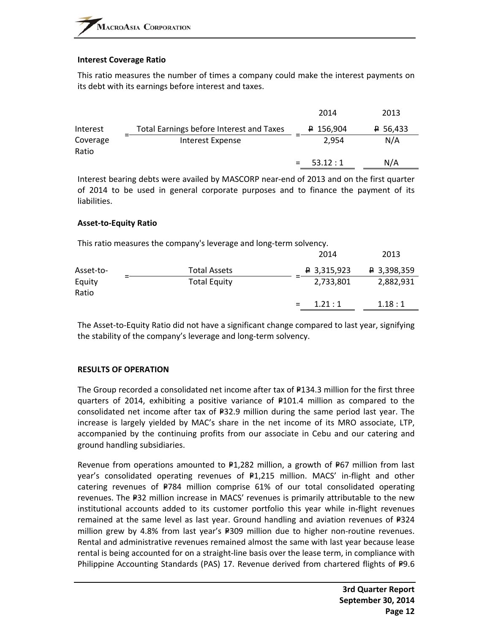#### **Interest Coverage Ratio**

This ratio measures the number of times a company could make the interest payments on its debt with its earnings before interest and taxes.

|                   |                                          | 2014           | 2013                |
|-------------------|------------------------------------------|----------------|---------------------|
| Interest          | Total Earnings before Interest and Taxes | $P$ 156,904    | <del>₽</del> 56,433 |
| Coverage<br>Ratio | Interest Expense                         | 2.954          | N/A                 |
|                   |                                          | 53.12:1<br>$=$ | N/A                 |

Interest bearing debts were availed by MASCORP near‐end of 2013 and on the first quarter of 2014 to be used in general corporate purposes and to finance the payment of its liabilities.

#### **Asset‐to‐Equity Ratio**

This ratio measures the company's leverage and long‐term solvency.

|                 |                     | 2014                 | 2013                 |
|-----------------|---------------------|----------------------|----------------------|
| Asset-to-       | Total Assets        | $\sqrt{2}$ 3,315,923 | $\uparrow$ 3,398,359 |
| Equity<br>Ratio | <b>Total Equity</b> | 2,733,801            | 2,882,931            |
|                 |                     | 1.21:1               | 1.18:1               |

The Asset‐to‐Equity Ratio did not have a significant change compared to last year, signifying the stability of the company's leverage and long‐term solvency.

#### **RESULTS OF OPERATION**

The Group recorded a consolidated net income after tax of  $P134.3$  million for the first three quarters of 2014, exhibiting a positive variance of  $P101.4$  million as compared to the consolidated net income after tax of  $P32.9$  million during the same period last year. The increase is largely yielded by MAC's share in the net income of its MRO associate, LTP, accompanied by the continuing profits from our associate in Cebu and our catering and ground handling subsidiaries.

Revenue from operations amounted to  $P1,282$  million, a growth of P67 million from last year's consolidated operating revenues of P1,215 million. MACS' in-flight and other catering revenues of  $P784$  million comprise 61% of our total consolidated operating revenues. The P32 million increase in MACS' revenues is primarily attributable to the new institutional accounts added to its customer portfolio this year while in‐flight revenues remained at the same level as last year. Ground handling and aviation revenues of  $P324$ million grew by 4.8% from last year's P309 million due to higher non-routine revenues. Rental and administrative revenues remained almost the same with last year because lease rental is being accounted for on a straight-line basis over the lease term, in compliance with Philippine Accounting Standards (PAS) 17. Revenue derived from chartered flights of P9.6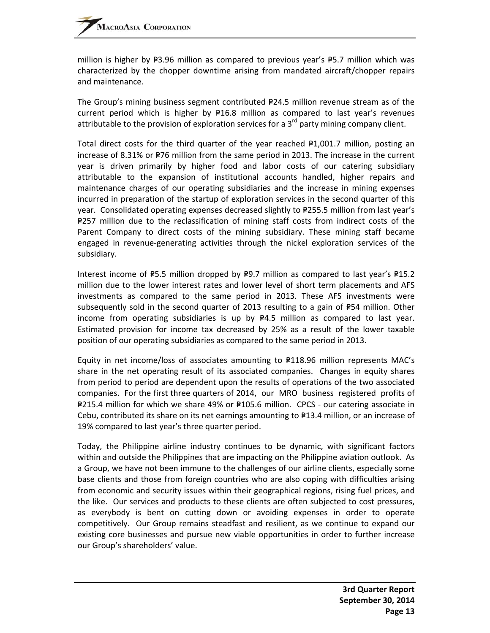million is higher by  $P3.96$  million as compared to previous year's P5.7 million which was characterized by the chopper downtime arising from mandated aircraft/chopper repairs and maintenance.

The Group's mining business segment contributed  $P24.5$  million revenue stream as of the current period which is higher by  $P16.8$  million as compared to last year's revenues attributable to the provision of exploration services for a  $3<sup>rd</sup>$  party mining company client.

Total direct costs for the third quarter of the year reached  $P1,001.7$  million, posting an increase of 8.31% or  $P76$  million from the same period in 2013. The increase in the current year is driven primarily by higher food and labor costs of our catering subsidiary attributable to the expansion of institutional accounts handled, higher repairs and maintenance charges of our operating subsidiaries and the increase in mining expenses incurred in preparation of the startup of exploration services in the second quarter of this year. Consolidated operating expenses decreased slightly to P255.5 million from last year's P257 million due to the reclassification of mining staff costs from indirect costs of the Parent Company to direct costs of the mining subsidiary. These mining staff became engaged in revenue‐generating activities through the nickel exploration services of the subsidiary.

Interest income of  $P5.5$  million dropped by  $P9.7$  million as compared to last year's  $P15.2$ million due to the lower interest rates and lower level of short term placements and AFS investments as compared to the same period in 2013. These AFS investments were subsequently sold in the second quarter of 2013 resulting to a gain of  $P54$  million. Other income from operating subsidiaries is up by  $P4.5$  million as compared to last year. Estimated provision for income tax decreased by 25% as a result of the lower taxable position of our operating subsidiaries as compared to the same period in 2013.

Equity in net income/loss of associates amounting to  $P118.96$  million represents MAC's share in the net operating result of its associated companies. Changes in equity shares from period to period are dependent upon the results of operations of the two associated companies. For the first three quarters of 2014, our MRO business registered profits of P215.4 million for which we share 49% or P105.6 million. CPCS - our catering associate in Cebu, contributed its share on its net earnings amounting to  $\text{P13.4}$  million, or an increase of 19% compared to last year's three quarter period.

Today, the Philippine airline industry continues to be dynamic, with significant factors within and outside the Philippines that are impacting on the Philippine aviation outlook. As a Group, we have not been immune to the challenges of our airline clients, especially some base clients and those from foreign countries who are also coping with difficulties arising from economic and security issues within their geographical regions, rising fuel prices, and the like. Our services and products to these clients are often subjected to cost pressures, as everybody is bent on cutting down or avoiding expenses in order to operate competitively. Our Group remains steadfast and resilient, as we continue to expand our existing core businesses and pursue new viable opportunities in order to further increase our Group's shareholders' value.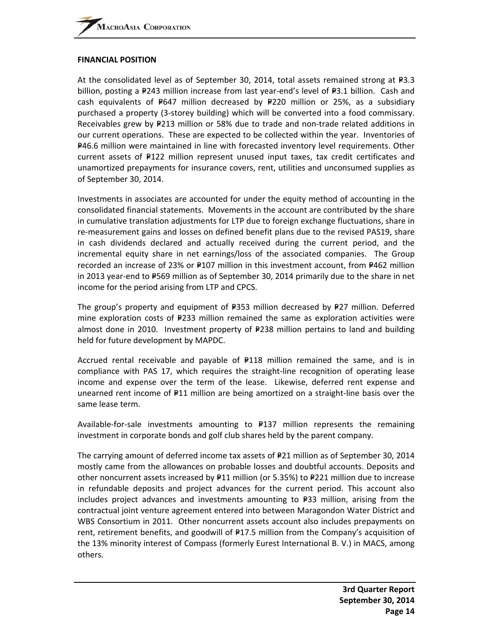#### **FINANCIAL POSITION**

At the consolidated level as of September 30, 2014, total assets remained strong at  $P3.3$ billion, posting a P243 million increase from last year-end's level of P3.1 billion. Cash and cash equivalents of  $P647$  million decreased by  $P220$  million or 25%, as a subsidiary purchased a property (3‐storey building) which will be converted into a food commissary. Receivables grew by  $P213$  million or 58% due to trade and non-trade related additions in our current operations. These are expected to be collected within the year. Inventories of P46.6 million were maintained in line with forecasted inventory level requirements. Other current assets of  $P122$  million represent unused input taxes, tax credit certificates and unamortized prepayments for insurance covers, rent, utilities and unconsumed supplies as of September 30, 2014.

Investments in associates are accounted for under the equity method of accounting in the consolidated financial statements. Movements in the account are contributed by the share in cumulative translation adjustments for LTP due to foreign exchange fluctuations, share in re-measurement gains and losses on defined benefit plans due to the revised PAS19, share in cash dividends declared and actually received during the current period, and the incremental equity share in net earnings/loss of the associated companies. The Group recorded an increase of 23% or P107 million in this investment account, from P462 million in 2013 year-end to P569 million as of September 30, 2014 primarily due to the share in net income for the period arising from LTP and CPCS.

The group's property and equipment of  $P=353$  million decreased by P27 million. Deferred mine exploration costs of  $P233$  million remained the same as exploration activities were almost done in 2010. Investment property of  $P238$  million pertains to land and building held for future development by MAPDC.

Accrued rental receivable and payable of  $P118$  million remained the same, and is in compliance with PAS 17, which requires the straight‐line recognition of operating lease income and expense over the term of the lease. Likewise, deferred rent expense and unearned rent income of  $F11$  million are being amortized on a straight-line basis over the same lease term.

Available-for-sale investments amounting to  $P137$  million represents the remaining investment in corporate bonds and golf club shares held by the parent company.

The carrying amount of deferred income tax assets of  $P21$  million as of September 30, 2014 mostly came from the allowances on probable losses and doubtful accounts. Deposits and other noncurrent assets increased by  $P11$  million (or 5.35%) to P221 million due to increase in refundable deposits and project advances for the current period. This account also includes project advances and investments amounting to  $P=33$  million, arising from the contractual joint venture agreement entered into between Maragondon Water District and WBS Consortium in 2011. Other noncurrent assets account also includes prepayments on rent, retirement benefits, and goodwill of P17.5 million from the Company's acquisition of the 13% minority interest of Compass (formerly Eurest International B. V.) in MACS, among others.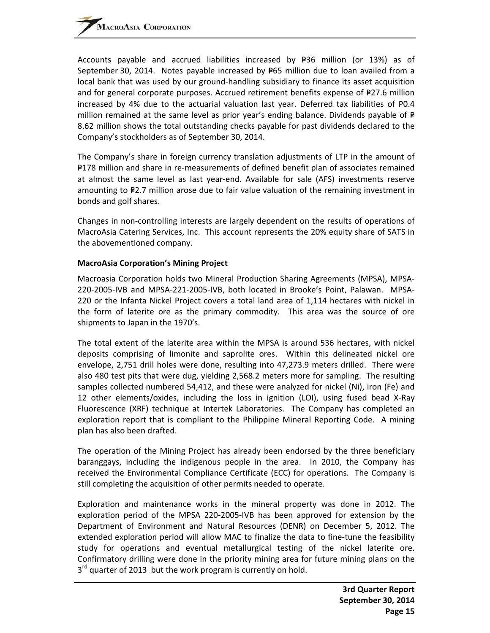Accounts payable and accrued liabilities increased by  $P=36$  million (or 13%) as of September 30, 2014. Notes payable increased by  $P65$  million due to loan availed from a local bank that was used by our ground-handling subsidiary to finance its asset acquisition and for general corporate purposes. Accrued retirement benefits expense of P27.6 million increased by 4% due to the actuarial valuation last year. Deferred tax liabilities of P0.4 million remained at the same level as prior year's ending balance. Dividends payable of  $P=$ 8.62 million shows the total outstanding checks payable for past dividends declared to the Company's stockholders as of September 30, 2014.

The Company's share in foreign currency translation adjustments of LTP in the amount of P178 million and share in re-measurements of defined benefit plan of associates remained at almost the same level as last year‐end. Available for sale (AFS) investments reserve amounting to  $P2.7$  million arose due to fair value valuation of the remaining investment in bonds and golf shares.

Changes in non‐controlling interests are largely dependent on the results of operations of MacroAsia Catering Services, Inc. This account represents the 20% equity share of SATS in the abovementioned company.

#### **MacroAsia Corporation's Mining Project**

Macroasia Corporation holds two Mineral Production Sharing Agreements (MPSA), MPSA‐ 220‐2005‐IVB and MPSA‐221‐2005‐IVB, both located in Brooke's Point, Palawan. MPSA‐ 220 or the Infanta Nickel Project covers a total land area of 1,114 hectares with nickel in the form of laterite ore as the primary commodity. This area was the source of ore shipments to Japan in the 1970's.

The total extent of the laterite area within the MPSA is around 536 hectares, with nickel deposits comprising of limonite and saprolite ores. Within this delineated nickel ore envelope, 2,751 drill holes were done, resulting into 47,273.9 meters drilled. There were also 480 test pits that were dug, yielding 2,568.2 meters more for sampling. The resulting samples collected numbered 54,412, and these were analyzed for nickel (Ni), iron (Fe) and 12 other elements/oxides, including the loss in ignition (LOI), using fused bead X‐Ray Fluorescence (XRF) technique at Intertek Laboratories. The Company has completed an exploration report that is compliant to the Philippine Mineral Reporting Code. A mining plan has also been drafted.

The operation of the Mining Project has already been endorsed by the three beneficiary baranggays, including the indigenous people in the area. In 2010, the Company has received the Environmental Compliance Certificate (ECC) for operations. The Company is still completing the acquisition of other permits needed to operate.

Exploration and maintenance works in the mineral property was done in 2012. The exploration period of the MPSA 220-2005-IVB has been approved for extension by the Department of Environment and Natural Resources (DENR) on December 5, 2012. The extended exploration period will allow MAC to finalize the data to fine‐tune the feasibility study for operations and eventual metallurgical testing of the nickel laterite ore. Confirmatory drilling were done in the priority mining area for future mining plans on the  $3<sup>rd</sup>$  quarter of 2013 but the work program is currently on hold.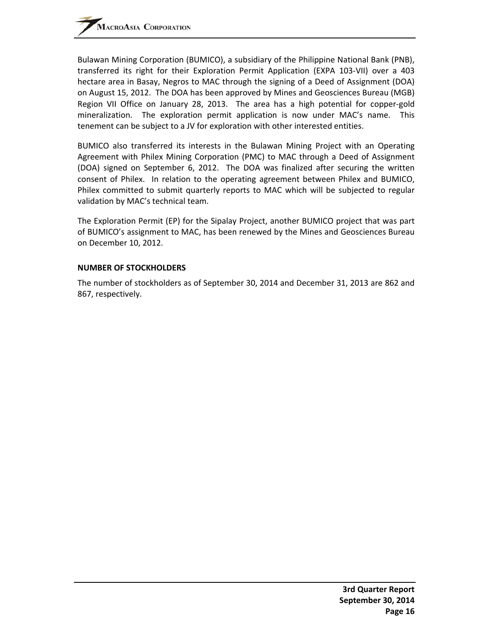Bulawan Mining Corporation (BUMICO), a subsidiary of the Philippine National Bank (PNB), transferred its right for their Exploration Permit Application (EXPA 103‐VII) over a 403 hectare area in Basay, Negros to MAC through the signing of a Deed of Assignment (DOA) on August 15, 2012. The DOA has been approved by Mines and Geosciences Bureau (MGB) Region VII Office on January 28, 2013. The area has a high potential for copper‐gold mineralization. The exploration permit application is now under MAC's name. This tenement can be subject to a JV for exploration with other interested entities.

BUMICO also transferred its interests in the Bulawan Mining Project with an Operating Agreement with Philex Mining Corporation (PMC) to MAC through a Deed of Assignment (DOA) signed on September 6, 2012. The DOA was finalized after securing the written consent of Philex. In relation to the operating agreement between Philex and BUMICO, Philex committed to submit quarterly reports to MAC which will be subjected to regular validation by MAC's technical team.

The Exploration Permit (EP) for the Sipalay Project, another BUMICO project that was part of BUMICO's assignment to MAC, has been renewed by the Mines and Geosciences Bureau on December 10, 2012.

#### **NUMBER OF STOCKHOLDERS**

The number of stockholders as of September 30, 2014 and December 31, 2013 are 862 and 867, respectively.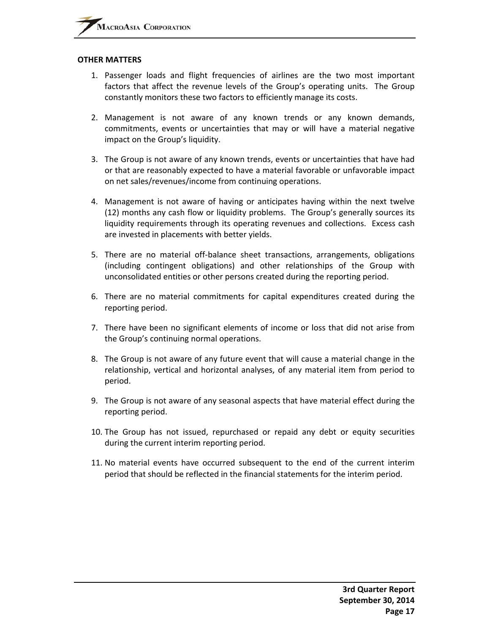#### **OTHER MATTERS**

- 1. Passenger loads and flight frequencies of airlines are the two most important factors that affect the revenue levels of the Group's operating units. The Group constantly monitors these two factors to efficiently manage its costs.
- 2. Management is not aware of any known trends or any known demands, commitments, events or uncertainties that may or will have a material negative impact on the Group's liquidity.
- 3. The Group is not aware of any known trends, events or uncertainties that have had or that are reasonably expected to have a material favorable or unfavorable impact on net sales/revenues/income from continuing operations.
- 4. Management is not aware of having or anticipates having within the next twelve (12) months any cash flow or liquidity problems. The Group's generally sources its liquidity requirements through its operating revenues and collections. Excess cash are invested in placements with better yields.
- 5. There are no material off‐balance sheet transactions, arrangements, obligations (including contingent obligations) and other relationships of the Group with unconsolidated entities or other persons created during the reporting period.
- 6. There are no material commitments for capital expenditures created during the reporting period.
- 7. There have been no significant elements of income or loss that did not arise from the Group's continuing normal operations.
- 8. The Group is not aware of any future event that will cause a material change in the relationship, vertical and horizontal analyses, of any material item from period to period.
- 9. The Group is not aware of any seasonal aspects that have material effect during the reporting period.
- 10. The Group has not issued, repurchased or repaid any debt or equity securities during the current interim reporting period.
- 11. No material events have occurred subsequent to the end of the current interim period that should be reflected in the financial statements for the interim period.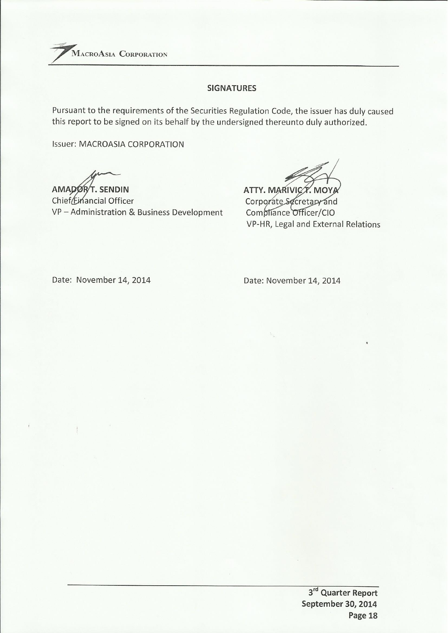

# **SIGNATURES**

Pursuant to the requirements of the Securities Regulation Code, the issuer has duly caused this report to be signed on its behalf by the undersigned thereunto duly authorized.

**Issuer: MACROASIA CORPORATION** 

AMADORT. SENDIN Chief Einancial Officer VP-Administration & Business Development

ATTY. MARIVICT. MOYA Corporate Secretary and Compliance Officer/CIO VP-HR, Legal and External Relations

Date: November 14, 2014

Date: November 14, 2014

3rd Quarter Report September 30, 2014 Page 18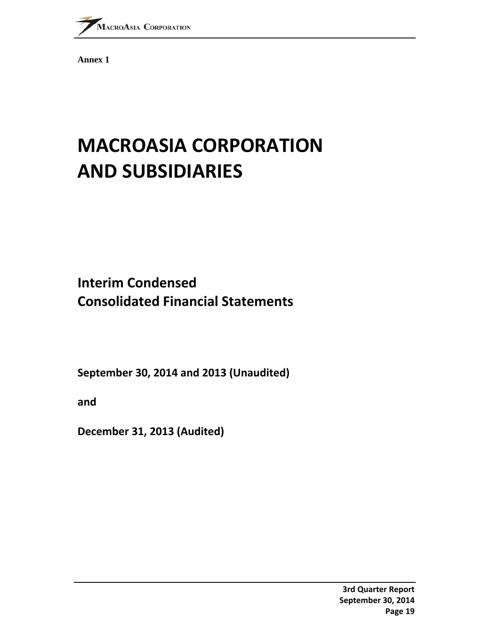

**Annex 1** 

# **MACROASIA CORPORATION AND SUBSIDIARIES**

# **Interim Condensed Consolidated Financial Statements**

**September 30, 2014 and 2013 (Unaudited)**

**and**

**December 31, 2013 (Audited)**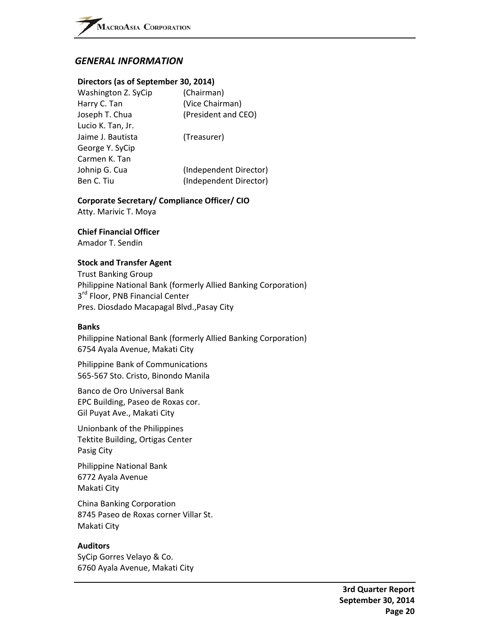# *GENERAL INFORMATION*

#### **Directors (as of September 30, 2014)**

| Washington Z. SyCip | (Chairman)             |
|---------------------|------------------------|
| Harry C. Tan        | (Vice Chairman)        |
| Joseph T. Chua      | (President and CEO)    |
| Lucio K. Tan, Jr.   |                        |
| Jaime J. Bautista   | (Treasurer)            |
| George Y. SyCip     |                        |
| Carmen K. Tan       |                        |
| Johnip G. Cua       | (Independent Director) |
| Ben C. Tiu          | (Independent Director) |
|                     |                        |

#### **Corporate Secretary/ Compliance Officer/ CIO**

Atty. Marivic T. Moya

#### **Chief Financial Officer**

Amador T. Sendin

#### **Stock and Transfer Agent**

Trust Banking Group Philippine National Bank (formerly Allied Banking Corporation) 3<sup>rd</sup> Floor, PNB Financial Center Pres. Diosdado Macapagal Blvd.,Pasay City

#### **Banks**

Philippine National Bank (formerly Allied Banking Corporation) 6754 Ayala Avenue, Makati City

Philippine Bank of Communications 565‐567 Sto. Cristo, Binondo Manila

Banco de Oro Universal Bank EPC Building, Paseo de Roxas cor. Gil Puyat Ave., Makati City

Unionbank of the Philippines Tektite Building, Ortigas Center Pasig City

Philippine National Bank 6772 Ayala Avenue Makati City

China Banking Corporation 8745 Paseo de Roxas corner Villar St. Makati City

#### **Auditors**

SyCip Gorres Velayo & Co. 6760 Ayala Avenue, Makati City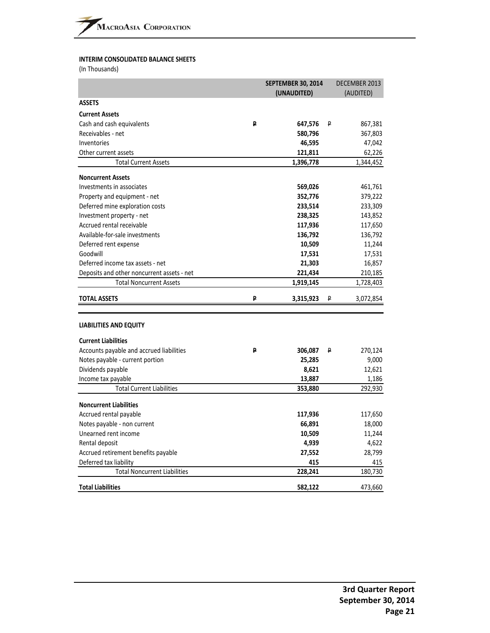#### **INTERIM CONSOLIDATED BALANCE SHEETS**

(In Thousands)

|                                                        |   | <b>SEPTEMBER 30, 2014</b><br>(UNAUDITED) |   | DECEMBER 2013<br>(AUDITED) |
|--------------------------------------------------------|---|------------------------------------------|---|----------------------------|
| <b>ASSETS</b>                                          |   |                                          |   |                            |
| <b>Current Assets</b>                                  |   |                                          |   |                            |
| Cash and cash equivalents                              | ₽ | 647,576                                  | ₽ | 867,381                    |
| Receivables - net                                      |   | 580,796                                  |   | 367,803                    |
| Inventories                                            |   | 46,595                                   |   | 47,042                     |
| Other current assets                                   |   | 121,811                                  |   | 62,226                     |
| <b>Total Current Assets</b>                            |   | 1,396,778                                |   | 1,344,452                  |
| <b>Noncurrent Assets</b>                               |   |                                          |   |                            |
| Investments in associates                              |   |                                          |   |                            |
|                                                        |   | 569,026                                  |   | 461,761                    |
| Property and equipment - net                           |   | 352,776                                  |   | 379,222                    |
| Deferred mine exploration costs                        |   | 233,514                                  |   | 233,309                    |
| Investment property - net<br>Accrued rental receivable |   | 238,325                                  |   | 143,852                    |
| Available-for-sale investments                         |   | 117,936<br>136,792                       |   | 117,650<br>136,792         |
| Deferred rent expense                                  |   | 10,509                                   |   | 11,244                     |
| Goodwill                                               |   |                                          |   |                            |
| Deferred income tax assets - net                       |   | 17,531<br>21,303                         |   | 17,531<br>16,857           |
| Deposits and other noncurrent assets - net             |   | 221,434                                  |   | 210,185                    |
| <b>Total Noncurrent Assets</b>                         |   | 1,919,145                                |   | 1,728,403                  |
|                                                        |   |                                          |   |                            |
| <b>TOTAL ASSETS</b>                                    | ₽ | 3,315,923                                | ₽ | 3,072,854                  |
|                                                        |   |                                          |   |                            |
| <b>LIABILITIES AND EQUITY</b>                          |   |                                          |   |                            |
| <b>Current Liabilities</b>                             |   |                                          |   |                            |
| Accounts payable and accrued liabilities               | ₽ | 306,087                                  | P | 270,124                    |
| Notes payable - current portion                        |   | 25,285                                   |   | 9,000                      |
| Dividends payable                                      |   | 8,621                                    |   | 12,621                     |
| Income tax payable                                     |   | 13,887                                   |   | 1,186                      |
| <b>Total Current Liabilities</b>                       |   | 353,880                                  |   | 292,930                    |
| <b>Noncurrent Liabilities</b>                          |   |                                          |   |                            |
| Accrued rental payable                                 |   | 117,936                                  |   | 117,650                    |
| Notes payable - non current                            |   | 66,891                                   |   | 18,000                     |
| Unearned rent income                                   |   | 10,509                                   |   | 11,244                     |
| Rental deposit                                         |   | 4,939                                    |   | 4,622                      |
| Accrued retirement benefits payable                    |   | 27,552                                   |   | 28,799                     |
| Deferred tax liability                                 |   | 415                                      |   | 415                        |
| <b>Total Noncurrent Liabilities</b>                    |   | 228,241                                  |   | 180,730                    |
|                                                        |   |                                          |   |                            |
| <b>Total Liabilities</b>                               |   | 582,122                                  |   | 473,660                    |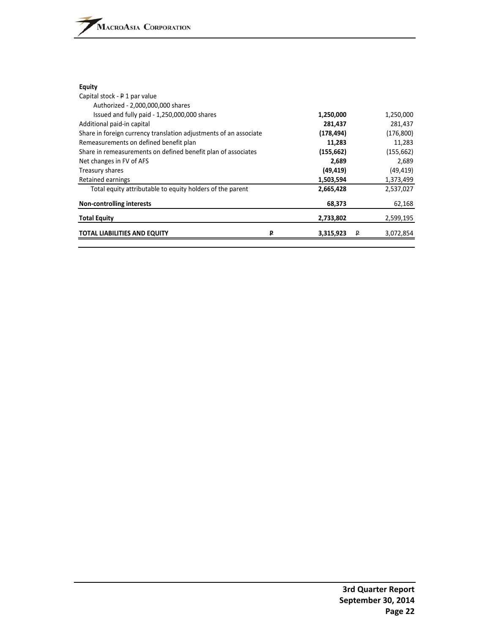#### **Equity**

| Capital stock - P 1 par value                                     |                |                |
|-------------------------------------------------------------------|----------------|----------------|
| Authorized - 2,000,000,000 shares                                 |                |                |
| Issued and fully paid - 1,250,000,000 shares                      | 1,250,000      | 1,250,000      |
| Additional paid-in capital                                        | 281,437        | 281,437        |
| Share in foreign currency translation adjustments of an associate | (178, 494)     | (176, 800)     |
| Remeasurements on defined benefit plan                            | 11,283         | 11,283         |
| Share in remeasurements on defined benefit plan of associates     | (155, 662)     | (155, 662)     |
| Net changes in FV of AFS                                          | 2,689          | 2,689          |
| Treasury shares                                                   | (49, 419)      | (49, 419)      |
| Retained earnings                                                 | 1,503,594      | 1,373,499      |
| Total equity attributable to equity holders of the parent         | 2,665,428      | 2,537,027      |
| <b>Non-controlling interests</b>                                  | 68,373         | 62,168         |
| <b>Total Equity</b>                                               | 2,733,802      | 2,599,195      |
| <b>TOTAL LIABILITIES AND EQUITY</b>                               | 3,315,923<br>D | 3,072,854<br>P |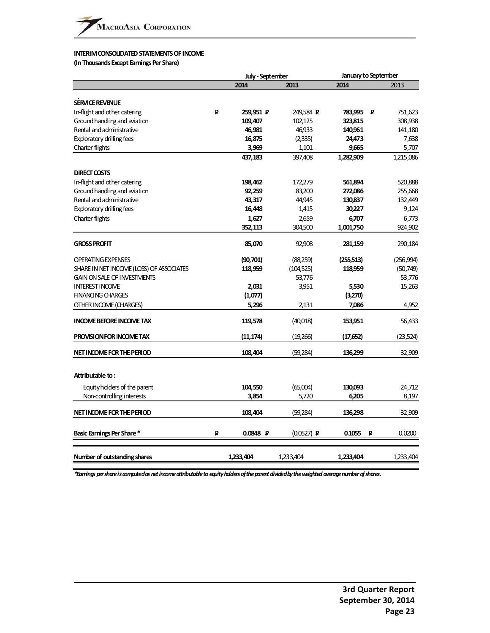#### **INTERIM CONSOLIDATED STATEMENTS OF INCOME**

**(InThousandsExcept EarningsPer Share)**

|                                          |   | July - September | <b>January to September</b> |           |   |           |
|------------------------------------------|---|------------------|-----------------------------|-----------|---|-----------|
|                                          |   | 2014             | 2013                        | 2014      |   | 2013      |
|                                          |   |                  |                             |           |   |           |
| <b>SERVICE REVENUE</b>                   |   |                  |                             |           |   |           |
| In-flight and other catering             | ₽ | 259,951 P        | 249,584 P                   | 783,995 P |   | 751,623   |
| Ground handling and aviation             |   | 109,407          | 102,125                     | 323,815   |   | 308,938   |
| Rental and administrative                |   | 46,981           | 46,933                      | 140,961   |   | 141,180   |
| Exploratory drilling fees                |   | 16,875           | (2, 335)                    | 24,473    |   | 7,638     |
| Charter flights                          |   | 3,969            | 1,101                       | 9,665     |   | 5,707     |
|                                          |   | 437,183          | 397,408                     | 1,282,909 |   | 1,215,086 |
| <b>DIRECT COSTS</b>                      |   |                  |                             |           |   |           |
| In-flight and other catering             |   | 198,462          | 172,279                     | 561,894   |   | 520,888   |
| Ground handling and aviation             |   | 92,259           | 83,200                      | 272,086   |   | 255,668   |
| Rental and administrative                |   | 43,317           | 44,945                      | 130,837   |   | 132,449   |
| Exploratory drilling fees                |   | 16,448           | 1,415                       | 30,227    |   | 9,124     |
| Charter flights                          |   | 1,627            | 2,659                       | 6,707     |   | 6,773     |
|                                          |   | 352,113          | 304,500                     | 1,001,750 |   | 924,902   |
|                                          |   |                  |                             |           |   |           |
| <b>GROSS PROFIT</b>                      |   | 85,070           | 92,908                      | 281,159   |   | 290,184   |
| <b>OPERATING EXPENSES</b>                |   | (90,701)         | (88,259)                    | (255,513) |   | (256,994) |
| SHARE IN NET INCOME (LOSS) OF ASSOCIATES |   | 118,959          | (104, 525)                  | 118,959   |   | (50, 749) |
| <b>GAIN ON SALE OF INVESTMENTS</b>       |   |                  | 53,776                      |           |   | 53,776    |
| <b>INTEREST INCOME</b>                   |   | 2,031            | 3,951                       | 5,530     |   | 15,263    |
| <b>FINANONG CHARGES</b>                  |   | (1,077)          |                             | (3,270)   |   |           |
| OTHER INCOME (CHARGES)                   |   | 5,296            | 2,131                       | 7,086     |   | 4,952     |
| <b>INCOME BEFORE INCOME TAX</b>          |   | 119,578          | (40,018)                    | 153,951   |   | 56,433    |
|                                          |   |                  |                             |           |   |           |
| PROVISION FOR INCOME TAX                 |   | (11,174)         | (19,266)                    | (17,652)  |   | (23,524)  |
| NET INCOME FOR THE PERIOD                |   | 108,404          | (59,284)                    | 136,299   |   | 32,909    |
| Attributable to:                         |   |                  |                             |           |   |           |
|                                          |   |                  |                             |           |   |           |
| Equity holders of the parent             |   | 104,550          | (65,004)                    | 130,093   |   | 24,712    |
| Non-controlling interests                |   | 3,854            | 5,720                       | 6,205     |   | 8,197     |
| NET INCOME FOR THE PERIOD                |   | 108,404          | (59,284)                    | 136,298   |   | 32,909    |
| Basic Earnings Per Share*                | P | 0.0848 P         | $(0.0527)$ P                | 0.1055    | ₽ | 0.0200    |
|                                          |   |                  |                             |           |   |           |
| Number of outstanding shares             |   | 1,233,404        | 1,233,404                   | 1,233,404 |   | 1,233,404 |

*\*Earnings pershareiscomputedas netincomeattributabletoequityholdersoftheparentdividedbytheweightedaveragenumberofshares.*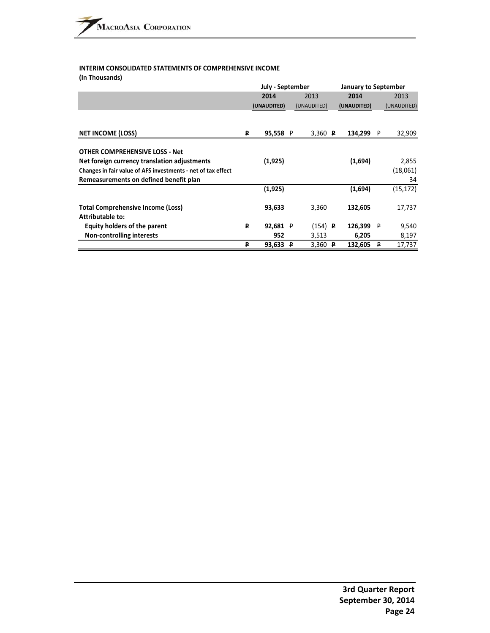#### **INTERIM CONSOLIDATED STATEMENTS OF COMPREHENSIVE INCOME (In Thousands)**

|                                                              |   | July - September |  |                      |  | <b>January to September</b> |             |             |
|--------------------------------------------------------------|---|------------------|--|----------------------|--|-----------------------------|-------------|-------------|
|                                                              |   | 2014             |  | 2013                 |  | 2014                        |             | 2013        |
|                                                              |   | (UNAUDITED)      |  | (UNAUDITED)          |  | (UNAUDITED)                 |             | (UNAUDITED) |
|                                                              |   |                  |  |                      |  |                             |             |             |
| <b>NET INCOME (LOSS)</b>                                     | ₽ | 95,558 P         |  | 3,360 $\overline{P}$ |  | 134,299                     | - P         | 32,909      |
| <b>OTHER COMPREHENSIVE LOSS - Net</b>                        |   |                  |  |                      |  |                             |             |             |
| Net foreign currency translation adjustments                 |   | (1,925)          |  |                      |  | (1,694)                     |             | 2,855       |
| Changes in fair value of AFS investments - net of tax effect |   |                  |  |                      |  |                             |             | (18,061)    |
| Remeasurements on defined benefit plan                       |   |                  |  |                      |  |                             |             | 34          |
|                                                              |   | (1,925)          |  |                      |  | (1,694)                     |             | (15, 172)   |
| <b>Total Comprehensive Income (Loss)</b><br>Attributable to: |   | 93,633           |  | 3,360                |  | 132,605                     |             | 17,737      |
| Equity holders of the parent                                 | ₽ | 92,681 $P$       |  | $(154)$ <b>P</b>     |  | 126,399                     | $\mathsf P$ | 9,540       |
| <b>Non-controlling interests</b>                             |   | 952              |  | 3,513                |  | 6,205                       |             | 8,197       |
|                                                              | P | 93,633 P         |  | 3,360 $P$            |  | 132,605                     | P           | 17,737      |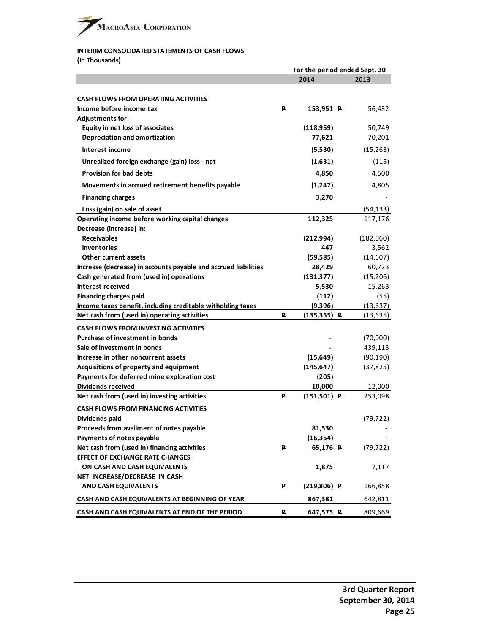# **INTERIM CONSOLIDATED STATEMENTS OF CASH FLOWS**

**(In Thousands)**

|                                                                 |   | For the period ended Sept. 30 |  |           |  |
|-----------------------------------------------------------------|---|-------------------------------|--|-----------|--|
|                                                                 |   | 2014                          |  | 2013      |  |
|                                                                 |   |                               |  |           |  |
| <b>CASH FLOWS FROM OPERATING ACTIVITIES</b>                     |   |                               |  |           |  |
| Income before income tax                                        | ₽ | 153,951 P                     |  | 56,432    |  |
| <b>Adjustments for:</b>                                         |   |                               |  |           |  |
| Equity in net loss of associates                                |   | (118,959)                     |  | 50,749    |  |
| Depreciation and amortization                                   |   | 77,621                        |  | 70,201    |  |
| Interest income                                                 |   | (5,530)                       |  | (15, 263) |  |
| Unrealized foreign exchange (gain) loss - net                   |   | (1,631)                       |  | (115)     |  |
| <b>Provision for bad debts</b>                                  |   | 4,850                         |  | 4,500     |  |
| Movements in accrued retirement benefits payable                |   | (1, 247)                      |  | 4,805     |  |
| <b>Financing charges</b>                                        |   | 3,270                         |  |           |  |
| Loss (gain) on sale of asset                                    |   |                               |  | (54, 133) |  |
| Operating income before working capital changes                 |   | 112,325                       |  | 117,176   |  |
| Decrease (increase) in:                                         |   |                               |  |           |  |
| <b>Receivables</b>                                              |   | (212,994)                     |  | (182,060) |  |
| <b>Inventories</b>                                              |   | 447                           |  | 3,562     |  |
| Other current assets                                            |   | (59, 585)                     |  | (14, 607) |  |
| Increase (decrease) in accounts payable and accrued liabilities |   | 28,429                        |  | 60,723    |  |
| Cash generated from (used in) operations                        |   | (131, 377)                    |  | (15,206)  |  |
| Interest received                                               |   | 5,530                         |  | 15,263    |  |
| <b>Financing charges paid</b>                                   |   | (112)                         |  | (55)      |  |
| Income taxes benefit, including creditable witholding taxes     |   | (9,396)                       |  | (13, 637) |  |
| Net cash from (used in) operating activities                    | ₽ | $(135, 355)$ P                |  | (13, 635) |  |
| <b>CASH FLOWS FROM INVESTING ACTIVITIES</b>                     |   |                               |  |           |  |
| <b>Purchase of investment in bonds</b>                          |   |                               |  | (70,000)  |  |
| Sale of investment in bonds                                     |   |                               |  | 439,113   |  |
| Increase in other noncurrent assets                             |   | (15, 649)                     |  | (90, 190) |  |
| Acquisitions of property and equipment                          |   | (145, 647)                    |  | (37, 825) |  |
| Payments for deferred mine exploration cost                     |   | (205)                         |  |           |  |
| Dividends received                                              |   | 10,000                        |  | 12,000    |  |
| Net cash from (used in) investing activities                    | ₽ | $(151,501)$ P                 |  | 253,098   |  |
| <b>CASH FLOWS FROM FINANCING ACTIVITIES</b>                     |   |                               |  |           |  |
| Dividends paid                                                  |   |                               |  | (79, 722) |  |
| Proceeds from availment of notes payable                        |   | 81,530                        |  |           |  |
| Payments of notes payable                                       |   | (16, 354)                     |  |           |  |
| Net cash from (used in) financing activities                    | ₽ | 65,176 P                      |  | (79, 722) |  |
| <b>EFFECT OF EXCHANGE RATE CHANGES</b>                          |   |                               |  |           |  |
| ON CASH AND CASH EQUIVALENTS                                    |   | 1,875                         |  | 7,117     |  |
| NET INCREASE/DECREASE IN CASH                                   |   |                               |  |           |  |
| <b>AND CASH EQUIVALENTS</b>                                     | ₽ | $(219, 806)$ P                |  | 166,858   |  |
| CASH AND CASH EQUIVALENTS AT BEGINNING OF YEAR                  |   | 867,381                       |  | 642,811   |  |
| CASH AND CASH EQUIVALENTS AT END OF THE PERIOD                  | ₽ | 647,575 P                     |  | 809,669   |  |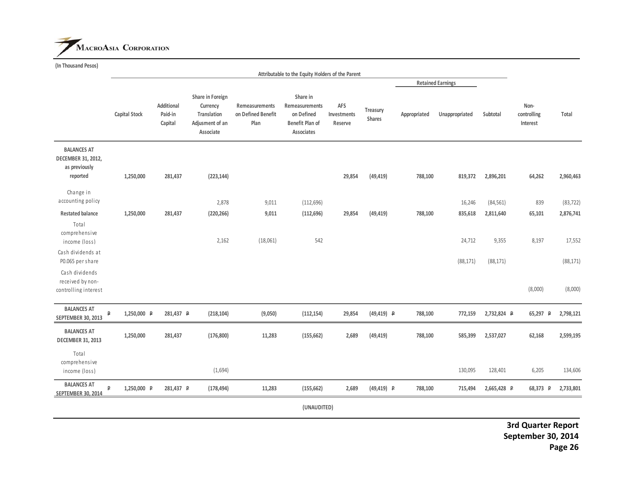

**(In Thousand Pesos)**

|                                                                       |               |                                  |                                                                             |                                              | Attributable to the Equity Holders of the Parent                                 |                               |                           |              |                          |             |                                                 |           |
|-----------------------------------------------------------------------|---------------|----------------------------------|-----------------------------------------------------------------------------|----------------------------------------------|----------------------------------------------------------------------------------|-------------------------------|---------------------------|--------------|--------------------------|-------------|-------------------------------------------------|-----------|
|                                                                       |               |                                  |                                                                             |                                              |                                                                                  |                               |                           |              | <b>Retained Earnings</b> |             |                                                 |           |
|                                                                       | Capital Stock | Additional<br>Paid-in<br>Capital | Share in Foreign<br>Currency<br>Translation<br>Adjusment of an<br>Associate | Remeasurements<br>on Defined Benefit<br>Plan | Share in<br>Remeasurements<br>on Defined<br><b>Benefit Plan of</b><br>Associates | AFS<br>Investments<br>Reserve | Treasury<br><b>Shares</b> | Appropriated | Unappropriated           | Subtotal    | Non-<br>controlling<br>Interest                 | Total     |
| <b>BALANCES AT</b><br>DECEMBER 31, 2012,<br>as previously<br>reported | 1,250,000     | 281,437                          | (223, 144)                                                                  |                                              |                                                                                  | 29,854                        | (49, 419)                 | 788,100      | 819,372                  | 2,896,201   | 64,262                                          | 2,960,463 |
| Change in<br>accounting policy                                        |               |                                  | 2,878                                                                       | 9,011                                        | (112, 696)                                                                       |                               |                           |              | 16,246                   | (84, 561)   | 839                                             | (83, 722) |
| <b>Restated balance</b>                                               | 1,250,000     | 281,437                          | (220, 266)                                                                  | 9,011                                        | (112, 696)                                                                       | 29,854                        | (49, 419)                 | 788,100      | 835,618                  | 2,811,640   | 65,101                                          | 2,876,741 |
| Total<br>comprehensive<br>income (loss)                               |               |                                  | 2,162                                                                       | (18,061)                                     | 542                                                                              |                               |                           |              | 24,712                   | 9,355       | 8,197                                           | 17,552    |
| Cash dividends at<br>P0.065 per share                                 |               |                                  |                                                                             |                                              |                                                                                  |                               |                           |              | (88, 171)                | (88, 171)   |                                                 | (88, 171) |
| Cash dividends<br>received by non-<br>controlling interest            |               |                                  |                                                                             |                                              |                                                                                  |                               |                           |              |                          |             | (8,000)                                         | (8,000)   |
| <b>BALANCES AT</b><br>₽<br><b>SEPTEMBER 30, 2013</b>                  | 1,250,000 P   | 281,437 P                        | (218, 104)                                                                  | (9,050)                                      | (112, 154)                                                                       | 29,854                        | $(49, 419)$ P             | 788,100      | 772,159                  | 2,732,824 P | 65,297<br>P                                     | 2,798,121 |
| <b>BALANCES AT</b><br><b>DECEMBER 31, 2013</b>                        | 1,250,000     | 281,437                          | (176, 800)                                                                  | 11,283                                       | (155, 662)                                                                       | 2,689                         | (49, 419)                 | 788,100      | 585,399                  | 2,537,027   | 62,168                                          | 2,599,195 |
| Total<br>comprehensive<br>income (loss)                               |               |                                  | (1,694)                                                                     |                                              |                                                                                  |                               |                           |              | 130,095                  | 128,401     | 6,205                                           | 134,606   |
| <b>BALANCES AT</b><br>₽<br><b>SEPTEMBER 30, 2014</b>                  | 1,250,000 P   | 281,437 P                        | (178, 494)                                                                  | 11,283                                       | (155, 662)                                                                       | 2,689                         | $(49, 419)$ P             | 788,100      | 715,494                  | 2,665,428 P | 68,373 P                                        | 2,733,801 |
|                                                                       |               |                                  |                                                                             |                                              | (UNAUDITED)                                                                      |                               |                           |              |                          |             |                                                 |           |
|                                                                       |               |                                  |                                                                             |                                              |                                                                                  |                               |                           |              |                          |             | <b>3rd Quarter Report</b><br>September 30, 2014 | Page 26   |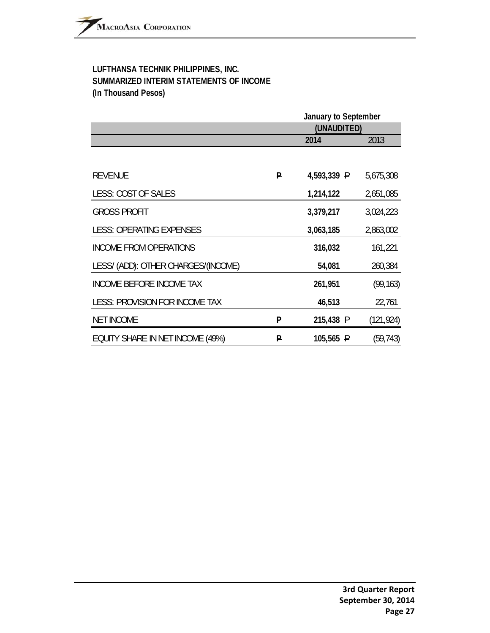# **LUFTHANSA TECHNIK PHILIPPINES, INC. SUMMARIZED INTERIM STATEMENTS OF INCOME (In Thousand Pesos)**

|                                     |   | January to September<br>(UNAUDITED) |            |  |  |
|-------------------------------------|---|-------------------------------------|------------|--|--|
|                                     |   | 2014                                | 2013       |  |  |
|                                     |   |                                     |            |  |  |
| <b>REVENUE</b>                      | P | 4,593,339 P                         | 5,675,308  |  |  |
| LESS: COST OF SALES                 |   | 1,214,122                           | 2,651,085  |  |  |
| <b>GROSS PROFIT</b>                 |   | 3,379,217                           | 3,024,223  |  |  |
| <b>LESS: OPERATING EXPENSES</b>     |   | 3,063,185                           | 2,863,002  |  |  |
| <b>INCOME FROM OPERATIONS</b>       |   | 316,032                             | 161,221    |  |  |
| LESS/ (ADD): OTHER CHARGES/(INCOME) |   | 54,081                              | 260,384    |  |  |
| <b>INCOME BEFORE INCOME TAX</b>     |   | 261,951                             | (99, 163)  |  |  |
| LESS: PROVISION FOR INCOME TAX      |   | 46,513                              | 22,761     |  |  |
| <b>NET INCOME</b>                   | P | 215,438 P                           | (121, 924) |  |  |
| EQUITY SHARE IN NET INCOME (49%)    | P | 105,565 P                           | (59, 743)  |  |  |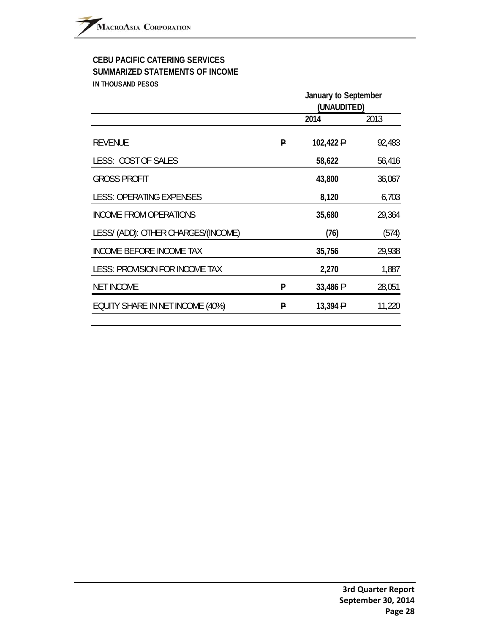# **CEBU PACIFIC CATERING SERVICES SUMMARIZED STATEMENTS OF INCOME IN THOUSAND PESOS**

| January to September<br>(UNAUDITED) |           |        |  |
|-------------------------------------|-----------|--------|--|
|                                     | 2014      | 2013   |  |
| P                                   | 102,422 P | 92,483 |  |
|                                     | 58,622    | 56,416 |  |
|                                     | 43,800    | 36,067 |  |
|                                     | 8,120     | 6,703  |  |
|                                     | 35,680    | 29,364 |  |
|                                     | (76)      | (574)  |  |
|                                     | 35,756    | 29,938 |  |
|                                     | 2,270     | 1,887  |  |
| P                                   | 33,486 P  | 28,051 |  |
| P                                   | 13,394 P  | 11,220 |  |
|                                     |           |        |  |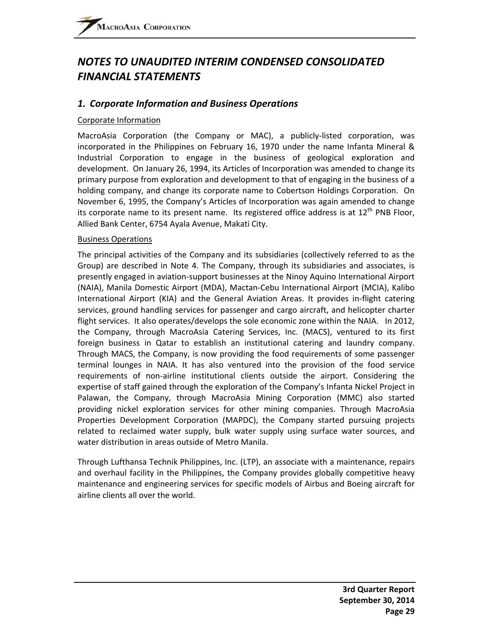# *NOTES TO UNAUDITED INTERIM CONDENSED CONSOLIDATED FINANCIAL STATEMENTS*

# *1. Corporate Information and Business Operations*

#### Corporate Information

MacroAsia Corporation (the Company or MAC), a publicly‐listed corporation, was incorporated in the Philippines on February 16, 1970 under the name Infanta Mineral & Industrial Corporation to engage in the business of geological exploration and development. On January 26, 1994, its Articles of Incorporation was amended to change its primary purpose from exploration and development to that of engaging in the business of a holding company, and change its corporate name to Cobertson Holdings Corporation. On November 6, 1995, the Company's Articles of Incorporation was again amended to change its corporate name to its present name. Its registered office address is at  $12<sup>th</sup>$  PNB Floor, Allied Bank Center, 6754 Ayala Avenue, Makati City.

#### Business Operations

The principal activities of the Company and its subsidiaries (collectively referred to as the Group) are described in Note 4. The Company, through its subsidiaries and associates, is presently engaged in aviation‐support businesses at the Ninoy Aquino International Airport (NAIA), Manila Domestic Airport (MDA), Mactan‐Cebu International Airport (MCIA), Kalibo International Airport (KIA) and the General Aviation Areas. It provides in‐flight catering services, ground handling services for passenger and cargo aircraft, and helicopter charter flight services. It also operates/develops the sole economic zone within the NAIA. In 2012, the Company, through MacroAsia Catering Services, Inc. (MACS), ventured to its first foreign business in Qatar to establish an institutional catering and laundry company. Through MACS, the Company, is now providing the food requirements of some passenger terminal lounges in NAIA. It has also ventured into the provision of the food service requirements of non-airline institutional clients outside the airport. Considering the expertise of staff gained through the exploration of the Company's Infanta Nickel Project in Palawan, the Company, through MacroAsia Mining Corporation (MMC) also started providing nickel exploration services for other mining companies. Through MacroAsia Properties Development Corporation (MAPDC), the Company started pursuing projects related to reclaimed water supply, bulk water supply using surface water sources, and water distribution in areas outside of Metro Manila.

Through Lufthansa Technik Philippines, Inc. (LTP), an associate with a maintenance, repairs and overhaul facility in the Philippines, the Company provides globally competitive heavy maintenance and engineering services for specific models of Airbus and Boeing aircraft for airline clients all over the world.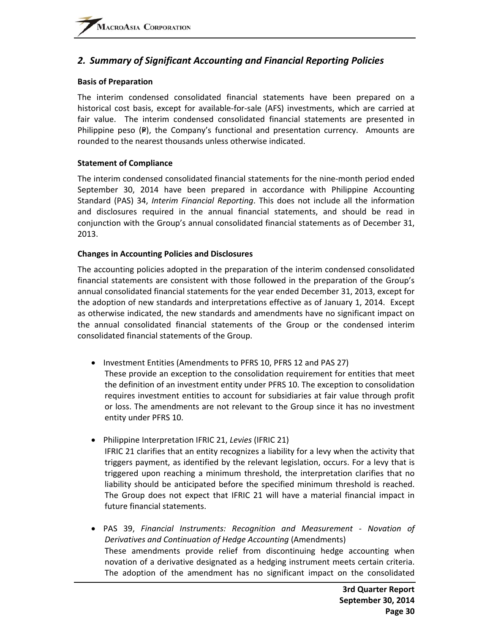# *2. Summary of Significant Accounting and Financial Reporting Policies*

#### **Basis of Preparation**

The interim condensed consolidated financial statements have been prepared on a historical cost basis, except for available-for-sale (AFS) investments, which are carried at fair value. The interim condensed consolidated financial statements are presented in Philippine peso  $(P)$ , the Company's functional and presentation currency. Amounts are rounded to the nearest thousands unless otherwise indicated.

#### **Statement of Compliance**

The interim condensed consolidated financial statements for the nine‐month period ended September 30, 2014 have been prepared in accordance with Philippine Accounting Standard (PAS) 34, *Interim Financial Reporting*. This does not include all the information and disclosures required in the annual financial statements, and should be read in conjunction with the Group's annual consolidated financial statements as of December 31, 2013.

#### **Changes in Accounting Policies and Disclosures**

The accounting policies adopted in the preparation of the interim condensed consolidated financial statements are consistent with those followed in the preparation of the Group's annual consolidated financial statements for the year ended December 31, 2013, except for the adoption of new standards and interpretations effective as of January 1, 2014. Except as otherwise indicated, the new standards and amendments have no significant impact on the annual consolidated financial statements of the Group or the condensed interim consolidated financial statements of the Group.

- Investment Entities (Amendments to PFRS 10, PFRS 12 and PAS 27)
- These provide an exception to the consolidation requirement for entities that meet the definition of an investment entity under PFRS 10. The exception to consolidation requires investment entities to account for subsidiaries at fair value through profit or loss. The amendments are not relevant to the Group since it has no investment entity under PFRS 10.
- Philippine Interpretation IFRIC 21, *Levies* (IFRIC 21) IFRIC 21 clarifies that an entity recognizes a liability for a levy when the activity that triggers payment, as identified by the relevant legislation, occurs. For a levy that is triggered upon reaching a minimum threshold, the interpretation clarifies that no liability should be anticipated before the specified minimum threshold is reached. The Group does not expect that IFRIC 21 will have a material financial impact in future financial statements.
- PAS 39, *Financial Instruments: Recognition and Measurement ‐ Novation of Derivatives and Continuation of Hedge Accounting* (Amendments) These amendments provide relief from discontinuing hedge accounting when novation of a derivative designated as a hedging instrument meets certain criteria. The adoption of the amendment has no significant impact on the consolidated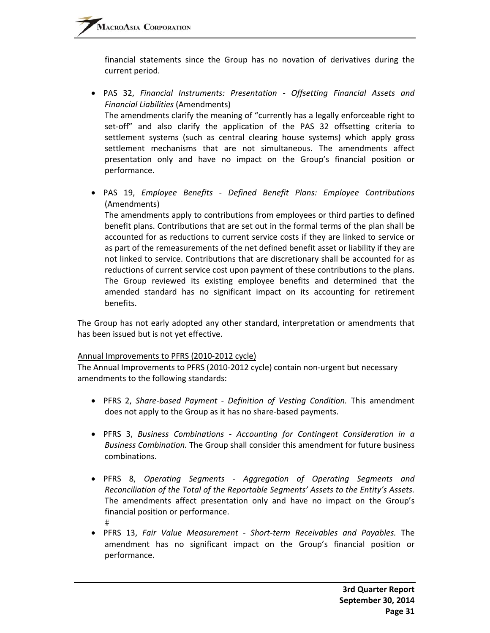financial statements since the Group has no novation of derivatives during the current period.

- PAS 32, *Financial Instruments: Presentation ‐ Offsetting Financial Assets and Financial Liabilities* (Amendments) The amendments clarify the meaning of "currently has a legally enforceable right to set-off" and also clarify the application of the PAS 32 offsetting criteria to settlement systems (such as central clearing house systems) which apply gross settlement mechanisms that are not simultaneous. The amendments affect presentation only and have no impact on the Group's financial position or performance.
- PAS 19, *Employee Benefits ‐ Defined Benefit Plans: Employee Contributions* (Amendments)

The amendments apply to contributions from employees or third parties to defined benefit plans. Contributions that are set out in the formal terms of the plan shall be accounted for as reductions to current service costs if they are linked to service or as part of the remeasurements of the net defined benefit asset or liability if they are not linked to service. Contributions that are discretionary shall be accounted for as reductions of current service cost upon payment of these contributions to the plans. The Group reviewed its existing employee benefits and determined that the amended standard has no significant impact on its accounting for retirement benefits.

The Group has not early adopted any other standard, interpretation or amendments that has been issued but is not yet effective.

#### Annual Improvements to PFRS (2010‐2012 cycle)

The Annual Improvements to PFRS (2010‐2012 cycle) contain non‐urgent but necessary amendments to the following standards:

- PFRS 2, *Share‐based Payment ‐ Definition of Vesting Condition.* This amendment does not apply to the Group as it has no share‐based payments.
- PFRS 3, *Business Combinations ‐ Accounting for Contingent Consideration in a Business Combination.* The Group shall consider this amendment for future business combinations.
- PFRS 8, *Operating Segments ‐ Aggregation of Operating Segments and Reconciliation of the Total of the Reportable Segments' Assets to the Entity's Assets.* The amendments affect presentation only and have no impact on the Group's financial position or performance.  $#$
- PFRS 13, *Fair Value Measurement ‐ Short‐term Receivables and Payables.* The amendment has no significant impact on the Group's financial position or performance.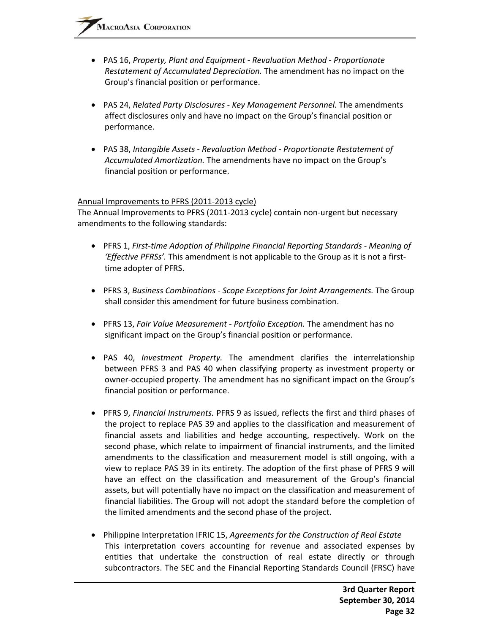- PAS 16, *Property, Plant and Equipment ‐ Revaluation Method ‐ Proportionate Restatement of Accumulated Depreciation.* The amendment has no impact on the Group's financial position or performance.
- PAS 24, *Related Party Disclosures ‐ Key Management Personnel.* The amendments affect disclosures only and have no impact on the Group's financial position or performance.
- PAS 38, *Intangible Assets ‐ Revaluation Method ‐ Proportionate Restatement of Accumulated Amortization.* The amendments have no impact on the Group's financial position or performance.

#### Annual Improvements to PFRS (2011‐2013 cycle)

The Annual Improvements to PFRS (2011-2013 cycle) contain non-urgent but necessary amendments to the following standards:

- PFRS 1, *First‐time Adoption of Philippine Financial Reporting Standards ‐ Meaning of 'Effective PFRSs'.* This amendment is not applicable to the Group as it is not a first‐ time adopter of PFRS.
- PFRS 3, *Business Combinations ‐ Scope Exceptions for Joint Arrangements.* The Group shall consider this amendment for future business combination.
- PFRS 13, *Fair Value Measurement ‐ Portfolio Exception.* The amendment has no significant impact on the Group's financial position or performance.
- PAS 40, *Investment Property.* The amendment clarifies the interrelationship between PFRS 3 and PAS 40 when classifying property as investment property or owner‐occupied property. The amendment has no significant impact on the Group's financial position or performance.
- PFRS 9, *Financial Instruments.* PFRS 9 as issued, reflects the first and third phases of the project to replace PAS 39 and applies to the classification and measurement of financial assets and liabilities and hedge accounting, respectively. Work on the second phase, which relate to impairment of financial instruments, and the limited amendments to the classification and measurement model is still ongoing, with a view to replace PAS 39 in its entirety. The adoption of the first phase of PFRS 9 will have an effect on the classification and measurement of the Group's financial assets, but will potentially have no impact on the classification and measurement of financial liabilities. The Group will not adopt the standard before the completion of the limited amendments and the second phase of the project.
- Philippine Interpretation IFRIC 15, *Agreements for the Construction of Real Estate* This interpretation covers accounting for revenue and associated expenses by entities that undertake the construction of real estate directly or through subcontractors. The SEC and the Financial Reporting Standards Council (FRSC) have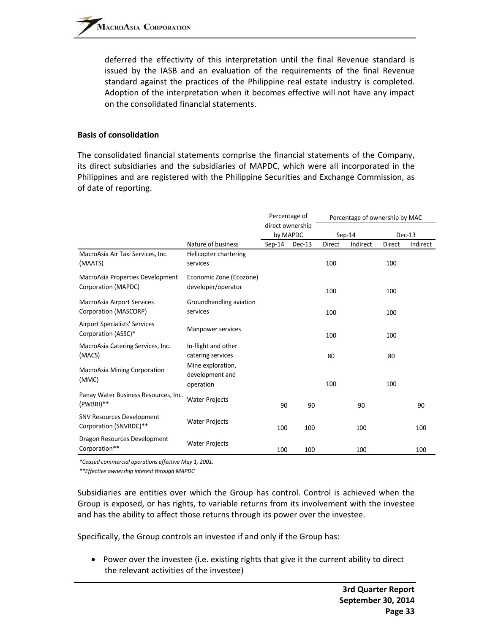deferred the effectivity of this interpretation until the final Revenue standard is issued by the IASB and an evaluation of the requirements of the final Revenue standard against the practices of the Philippine real estate industry is completed. Adoption of the interpretation when it becomes effective will not have any impact on the consolidated financial statements.

#### **Basis of consolidation**

The consolidated financial statements comprise the financial statements of the Company, its direct subsidiaries and the subsidiaries of MAPDC, which were all incorporated in the Philippines and are registered with the Philippine Securities and Exchange Commission, as of date of reporting.

|                                                             |                                                   | Percentage of<br>direct ownership<br>by MAPDC |        |          |          | Percentage of ownership by MAC |          |
|-------------------------------------------------------------|---------------------------------------------------|-----------------------------------------------|--------|----------|----------|--------------------------------|----------|
|                                                             |                                                   |                                               |        | $Sep-14$ |          |                                | Dec-13   |
|                                                             | Nature of business                                | $Sep-14$                                      | Dec-13 | Direct   | Indirect | Direct                         | Indirect |
| MacroAsia Air Taxi Services, Inc.<br>(MAATS)                | Helicopter chartering<br>services                 |                                               |        | 100      |          | 100                            |          |
| MacroAsia Properties Development<br>Corporation (MAPDC)     | Economic Zone (Ecozone)<br>developer/operator     |                                               |        | 100      |          | 100                            |          |
| MacroAsia Airport Services<br>Corporation (MASCORP)         | Groundhandling aviation<br>services               |                                               |        | 100      |          | 100                            |          |
| <b>Airport Specialists' Services</b><br>Corporation (ASSC)* | Manpower services                                 |                                               |        | 100      |          | 100                            |          |
| MacroAsia Catering Services, Inc.<br>(MACS)                 | In-flight and other<br>catering services          |                                               |        | 80       |          | 80                             |          |
| <b>MacroAsia Mining Corporation</b><br>(MMC)                | Mine exploration,<br>development and<br>operation |                                               |        | 100      |          | 100                            |          |
| Panay Water Business Resources, Inc.<br>(PWBRI)**           | <b>Water Projects</b>                             | 90                                            | 90     |          | 90       |                                | 90       |
| <b>SNV Resources Development</b><br>Corporation (SNVRDC)**  | <b>Water Projects</b>                             | 100                                           | 100    |          | 100      |                                | 100      |
| Dragon Resources Development<br>Corporation**               | <b>Water Projects</b>                             | 100                                           | 100    |          | 100      |                                | 100      |

*\*Ceased commercial operations effective May 1, 2001.*

*\*\*Effective ownership interest through MAPDC*

Subsidiaries are entities over which the Group has control. Control is achieved when the Group is exposed, or has rights, to variable returns from its involvement with the investee and has the ability to affect those returns through its power over the investee.

Specifically, the Group controls an investee if and only if the Group has:

• Power over the investee (i.e. existing rights that give it the current ability to direct the relevant activities of the investee)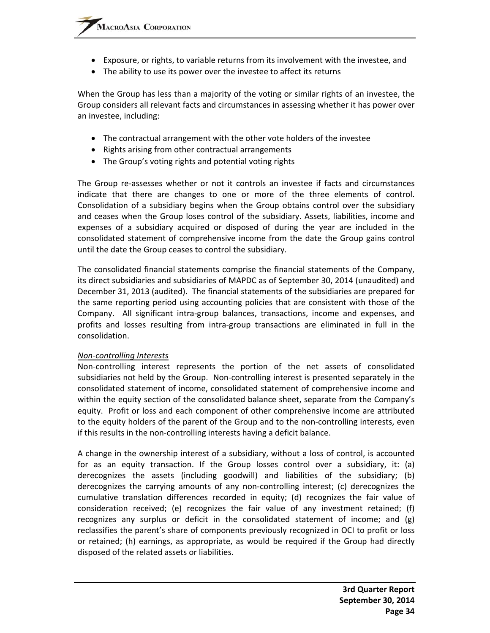- Exposure, or rights, to variable returns from its involvement with the investee, and
- The ability to use its power over the investee to affect its returns

When the Group has less than a majority of the voting or similar rights of an investee, the Group considers all relevant facts and circumstances in assessing whether it has power over an investee, including:

- The contractual arrangement with the other vote holders of the investee
- Rights arising from other contractual arrangements
- The Group's voting rights and potential voting rights

The Group re-assesses whether or not it controls an investee if facts and circumstances indicate that there are changes to one or more of the three elements of control. Consolidation of a subsidiary begins when the Group obtains control over the subsidiary and ceases when the Group loses control of the subsidiary. Assets, liabilities, income and expenses of a subsidiary acquired or disposed of during the year are included in the consolidated statement of comprehensive income from the date the Group gains control until the date the Group ceases to control the subsidiary.

The consolidated financial statements comprise the financial statements of the Company, its direct subsidiaries and subsidiaries of MAPDC as of September 30, 2014 (unaudited) and December 31, 2013 (audited). The financial statements of the subsidiaries are prepared for the same reporting period using accounting policies that are consistent with those of the Company. All significant intra‐group balances, transactions, income and expenses, and profits and losses resulting from intra‐group transactions are eliminated in full in the consolidation.

#### *Non‐controlling Interests*

Non‐controlling interest represents the portion of the net assets of consolidated subsidiaries not held by the Group. Non‐controlling interest is presented separately in the consolidated statement of income, consolidated statement of comprehensive income and within the equity section of the consolidated balance sheet, separate from the Company's equity. Profit or loss and each component of other comprehensive income are attributed to the equity holders of the parent of the Group and to the non-controlling interests, even if this results in the non‐controlling interests having a deficit balance.

A change in the ownership interest of a subsidiary, without a loss of control, is accounted for as an equity transaction. If the Group losses control over a subsidiary, it: (a) derecognizes the assets (including goodwill) and liabilities of the subsidiary; (b) derecognizes the carrying amounts of any non‐controlling interest; (c) derecognizes the cumulative translation differences recorded in equity; (d) recognizes the fair value of consideration received; (e) recognizes the fair value of any investment retained; (f) recognizes any surplus or deficit in the consolidated statement of income; and (g) reclassifies the parent's share of components previously recognized in OCI to profit or loss or retained; (h) earnings, as appropriate, as would be required if the Group had directly disposed of the related assets or liabilities.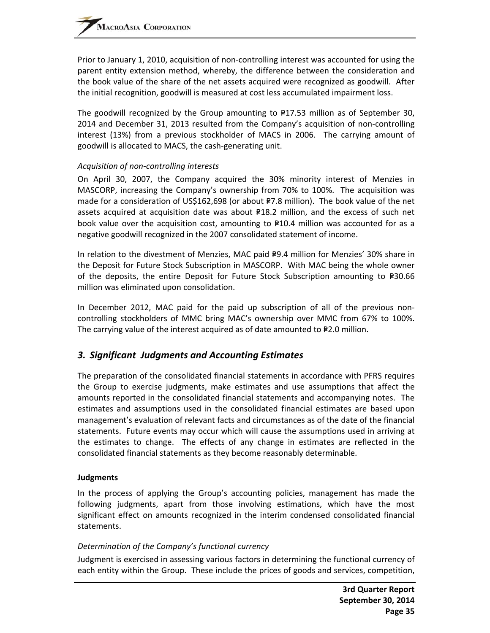Prior to January 1, 2010, acquisition of non‐controlling interest was accounted for using the parent entity extension method, whereby, the difference between the consideration and the book value of the share of the net assets acquired were recognized as goodwill. After the initial recognition, goodwill is measured at cost less accumulated impairment loss.

The goodwill recognized by the Group amounting to  $P17.53$  million as of September 30, 2014 and December 31, 2013 resulted from the Company's acquisition of non‐controlling interest (13%) from a previous stockholder of MACS in 2006. The carrying amount of goodwill is allocated to MACS, the cash‐generating unit.

#### *Acquisition of non‐controlling interests*

On April 30, 2007, the Company acquired the 30% minority interest of Menzies in MASCORP, increasing the Company's ownership from 70% to 100%. The acquisition was made for a consideration of US\$162,698 (or about P7.8 million). The book value of the net assets acquired at acquisition date was about  $P18.2$  million, and the excess of such net book value over the acquisition cost, amounting to  $P10.4$  million was accounted for as a negative goodwill recognized in the 2007 consolidated statement of income.

In relation to the divestment of Menzies, MAC paid P9.4 million for Menzies' 30% share in the Deposit for Future Stock Subscription in MASCORP. With MAC being the whole owner of the deposits, the entire Deposit for Future Stock Subscription amounting to  $P30.66$ million was eliminated upon consolidation.

In December 2012, MAC paid for the paid up subscription of all of the previous noncontrolling stockholders of MMC bring MAC's ownership over MMC from 67% to 100%. The carrying value of the interest acquired as of date amounted to  $P2.0$  million.

# *3. Significant Judgments and Accounting Estimates*

The preparation of the consolidated financial statements in accordance with PFRS requires the Group to exercise judgments, make estimates and use assumptions that affect the amounts reported in the consolidated financial statements and accompanying notes. The estimates and assumptions used in the consolidated financial estimates are based upon management's evaluation of relevant facts and circumstances as of the date of the financial statements. Future events may occur which will cause the assumptions used in arriving at the estimates to change. The effects of any change in estimates are reflected in the consolidated financial statements as they become reasonably determinable.

#### **Judgments**

In the process of applying the Group's accounting policies, management has made the following judgments, apart from those involving estimations, which have the most significant effect on amounts recognized in the interim condensed consolidated financial statements.

#### *Determination of the Company's functional currency*

Judgment is exercised in assessing various factors in determining the functional currency of each entity within the Group. These include the prices of goods and services, competition,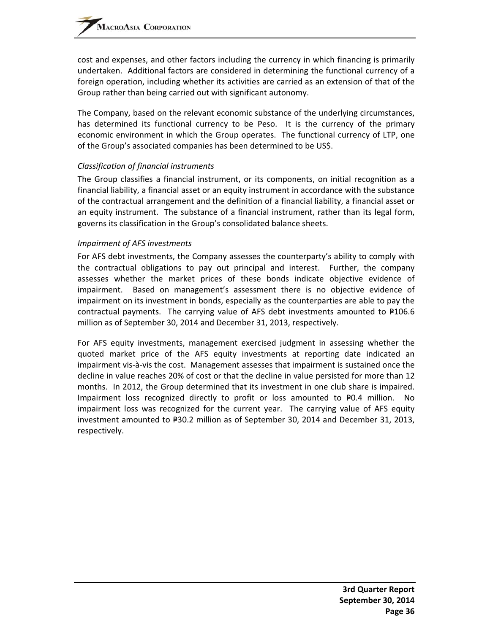cost and expenses, and other factors including the currency in which financing is primarily undertaken. Additional factors are considered in determining the functional currency of a foreign operation, including whether its activities are carried as an extension of that of the Group rather than being carried out with significant autonomy.

The Company, based on the relevant economic substance of the underlying circumstances, has determined its functional currency to be Peso. It is the currency of the primary economic environment in which the Group operates. The functional currency of LTP, one of the Group's associated companies has been determined to be US\$.

### *Classification of financial instruments*

The Group classifies a financial instrument, or its components, on initial recognition as a financial liability, a financial asset or an equity instrument in accordance with the substance of the contractual arrangement and the definition of a financial liability, a financial asset or an equity instrument. The substance of a financial instrument, rather than its legal form, governs its classification in the Group's consolidated balance sheets.

#### *Impairment of AFS investments*

For AFS debt investments, the Company assesses the counterparty's ability to comply with the contractual obligations to pay out principal and interest. Further, the company assesses whether the market prices of these bonds indicate objective evidence of impairment. Based on management's assessment there is no objective evidence of impairment on its investment in bonds, especially as the counterparties are able to pay the contractual payments. The carrying value of AFS debt investments amounted to  $P106.6$ million as of September 30, 2014 and December 31, 2013, respectively.

For AFS equity investments, management exercised judgment in assessing whether the quoted market price of the AFS equity investments at reporting date indicated an impairment vis‐à‐vis the cost. Management assesses that impairment is sustained once the decline in value reaches 20% of cost or that the decline in value persisted for more than 12 months. In 2012, the Group determined that its investment in one club share is impaired. Impairment loss recognized directly to profit or loss amounted to  $P0.4$  million. impairment loss was recognized for the current year. The carrying value of AFS equity investment amounted to  $P=30.2$  million as of September 30, 2014 and December 31, 2013, respectively.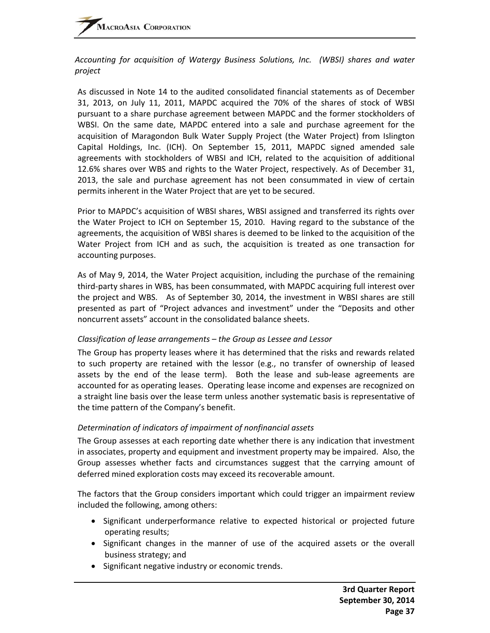#### *Accounting for acquisition of Watergy Business Solutions, Inc. (WBSI) shares and water project*

As discussed in Note 14 to the audited consolidated financial statements as of December 31, 2013, on July 11, 2011, MAPDC acquired the 70% of the shares of stock of WBSI pursuant to a share purchase agreement between MAPDC and the former stockholders of WBSI. On the same date, MAPDC entered into a sale and purchase agreement for the acquisition of Maragondon Bulk Water Supply Project (the Water Project) from Islington Capital Holdings, Inc. (ICH). On September 15, 2011, MAPDC signed amended sale agreements with stockholders of WBSI and ICH, related to the acquisition of additional 12.6% shares over WBS and rights to the Water Project, respectively. As of December 31, 2013, the sale and purchase agreement has not been consummated in view of certain permits inherent in the Water Project that are yet to be secured.

Prior to MAPDC's acquisition of WBSI shares, WBSI assigned and transferred its rights over the Water Project to ICH on September 15, 2010. Having regard to the substance of the agreements, the acquisition of WBSI shares is deemed to be linked to the acquisition of the Water Project from ICH and as such, the acquisition is treated as one transaction for accounting purposes.

As of May 9, 2014, the Water Project acquisition, including the purchase of the remaining third‐party shares in WBS, has been consummated, with MAPDC acquiring full interest over the project and WBS. As of September 30, 2014, the investment in WBSI shares are still presented as part of "Project advances and investment" under the "Deposits and other noncurrent assets" account in the consolidated balance sheets.

#### *Classification of lease arrangements – the Group as Lessee and Lessor*

The Group has property leases where it has determined that the risks and rewards related to such property are retained with the lessor (e.g., no transfer of ownership of leased assets by the end of the lease term). Both the lease and sub‐lease agreements are accounted for as operating leases. Operating lease income and expenses are recognized on a straight line basis over the lease term unless another systematic basis is representative of the time pattern of the Company's benefit.

## *Determination of indicators of impairment of nonfinancial assets*

The Group assesses at each reporting date whether there is any indication that investment in associates, property and equipment and investment property may be impaired. Also, the Group assesses whether facts and circumstances suggest that the carrying amount of deferred mined exploration costs may exceed its recoverable amount.

The factors that the Group considers important which could trigger an impairment review included the following, among others:

- Significant underperformance relative to expected historical or projected future operating results;
- Significant changes in the manner of use of the acquired assets or the overall business strategy; and
- Significant negative industry or economic trends.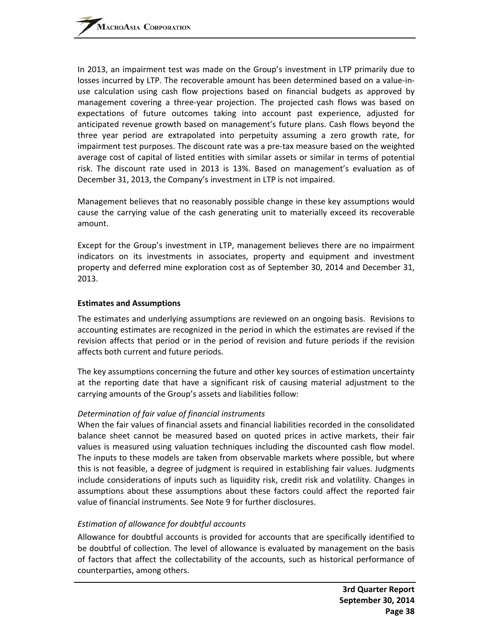In 2013, an impairment test was made on the Group's investment in LTP primarily due to losses incurred by LTP. The recoverable amount has been determined based on a value‐in‐ use calculation using cash flow projections based on financial budgets as approved by management covering a three-year projection. The projected cash flows was based on expectations of future outcomes taking into account past experience, adjusted for anticipated revenue growth based on management's future plans. Cash flows beyond the three year period are extrapolated into perpetuity assuming a zero growth rate, for impairment test purposes. The discount rate was a pre-tax measure based on the weighted average cost of capital of listed entities with similar assets or similar in terms of potential risk. The discount rate used in 2013 is 13%. Based on management's evaluation as of December 31, 2013, the Company's investment in LTP is not impaired.

Management believes that no reasonably possible change in these key assumptions would cause the carrying value of the cash generating unit to materially exceed its recoverable amount.

Except for the Group's investment in LTP, management believes there are no impairment indicators on its investments in associates, property and equipment and investment property and deferred mine exploration cost as of September 30, 2014 and December 31, 2013.

#### **Estimates and Assumptions**

The estimates and underlying assumptions are reviewed on an ongoing basis. Revisions to accounting estimates are recognized in the period in which the estimates are revised if the revision affects that period or in the period of revision and future periods if the revision affects both current and future periods.

The key assumptions concerning the future and other key sources of estimation uncertainty at the reporting date that have a significant risk of causing material adjustment to the carrying amounts of the Group's assets and liabilities follow:

#### *Determination of fair value of financial instruments*

When the fair values of financial assets and financial liabilities recorded in the consolidated balance sheet cannot be measured based on quoted prices in active markets, their fair values is measured using valuation techniques including the discounted cash flow model. The inputs to these models are taken from observable markets where possible, but where this is not feasible, a degree of judgment is required in establishing fair values. Judgments include considerations of inputs such as liquidity risk, credit risk and volatility. Changes in assumptions about these assumptions about these factors could affect the reported fair value of financial instruments. See Note 9 for further disclosures.

#### *Estimation of allowance for doubtful accounts*

Allowance for doubtful accounts is provided for accounts that are specifically identified to be doubtful of collection. The level of allowance is evaluated by management on the basis of factors that affect the collectability of the accounts, such as historical performance of counterparties, among others.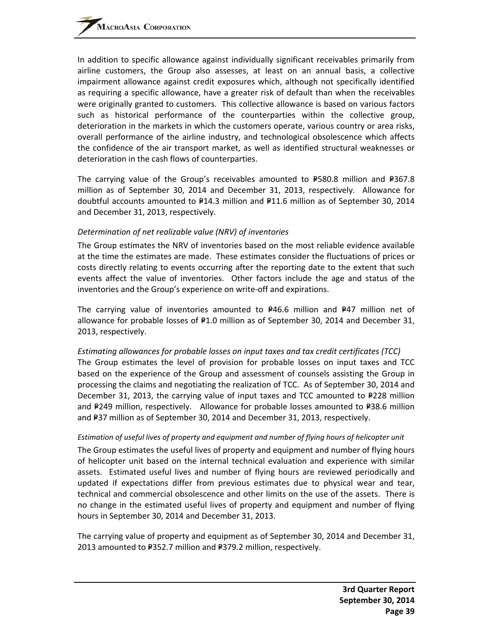In addition to specific allowance against individually significant receivables primarily from airline customers, the Group also assesses, at least on an annual basis, a collective impairment allowance against credit exposures which, although not specifically identified as requiring a specific allowance, have a greater risk of default than when the receivables were originally granted to customers. This collective allowance is based on various factors such as historical performance of the counterparties within the collective group, deterioration in the markets in which the customers operate, various country or area risks, overall performance of the airline industry, and technological obsolescence which affects the confidence of the air transport market, as well as identified structural weaknesses or deterioration in the cash flows of counterparties.

The carrying value of the Group's receivables amounted to  $P$ 580.8 million and  $P$ 367.8 million as of September 30, 2014 and December 31, 2013, respectively. Allowance for doubtful accounts amounted to  $P14.3$  million and  $P11.6$  million as of September 30, 2014 and December 31, 2013, respectively.

#### *Determination of net realizable value (NRV) of inventories*

The Group estimates the NRV of inventories based on the most reliable evidence available at the time the estimates are made. These estimates consider the fluctuations of prices or costs directly relating to events occurring after the reporting date to the extent that such events affect the value of inventories. Other factors include the age and status of the inventories and the Group's experience on write‐off and expirations.

The carrying value of inventories amounted to  $P46.6$  million and P47 million net of allowance for probable losses of  $P1.0$  million as of September 30, 2014 and December 31, 2013, respectively.

### *Estimating allowances for probable losses on input taxes and tax credit certificates (TCC)* The Group estimates the level of provision for probable losses on input taxes and TCC based on the experience of the Group and assessment of counsels assisting the Group in processing the claims and negotiating the realization of TCC. As of September 30, 2014 and December 31, 2013, the carrying value of input taxes and TCC amounted to  $P228$  million and P249 million, respectively. Allowance for probable losses amounted to P38.6 million and P37 million as of September 30, 2014 and December 31, 2013, respectively.

#### *Estimation of useful lives of property and equipment and number of flying hours of helicopter unit*

The Group estimates the useful lives of property and equipment and number of flying hours of helicopter unit based on the internal technical evaluation and experience with similar assets. Estimated useful lives and number of flying hours are reviewed periodically and updated if expectations differ from previous estimates due to physical wear and tear, technical and commercial obsolescence and other limits on the use of the assets. There is no change in the estimated useful lives of property and equipment and number of flying hours in September 30, 2014 and December 31, 2013.

The carrying value of property and equipment as of September 30, 2014 and December 31, 2013 amounted to P352.7 million and P379.2 million, respectively.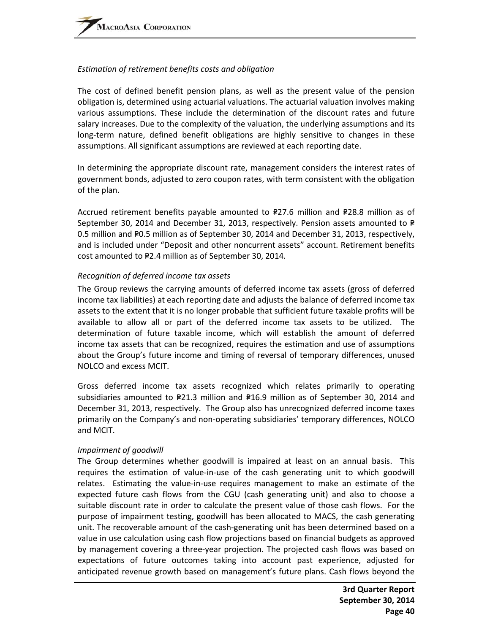#### *Estimation of retirement benefits costs and obligation*

The cost of defined benefit pension plans, as well as the present value of the pension obligation is, determined using actuarial valuations. The actuarial valuation involves making various assumptions. These include the determination of the discount rates and future salary increases. Due to the complexity of the valuation, the underlying assumptions and its long-term nature, defined benefit obligations are highly sensitive to changes in these assumptions. All significant assumptions are reviewed at each reporting date.

In determining the appropriate discount rate, management considers the interest rates of government bonds, adjusted to zero coupon rates, with term consistent with the obligation of the plan.

Accrued retirement benefits payable amounted to  $P27.6$  million and P28.8 million as of September 30, 2014 and December 31, 2013, respectively. Pension assets amounted to  $P$ 0.5 million and P0.5 million as of September 30, 2014 and December 31, 2013, respectively, and is included under "Deposit and other noncurrent assets" account. Retirement benefits cost amounted to P2.4 million as of September 30, 2014.

### *Recognition of deferred income tax assets*

The Group reviews the carrying amounts of deferred income tax assets (gross of deferred income tax liabilities) at each reporting date and adjusts the balance of deferred income tax assets to the extent that it is no longer probable that sufficient future taxable profits will be available to allow all or part of the deferred income tax assets to be utilized. The determination of future taxable income, which will establish the amount of deferred income tax assets that can be recognized, requires the estimation and use of assumptions about the Group's future income and timing of reversal of temporary differences, unused NOLCO and excess MCIT.

Gross deferred income tax assets recognized which relates primarily to operating subsidiaries amounted to  $P21.3$  million and  $P16.9$  million as of September 30, 2014 and December 31, 2013, respectively. The Group also has unrecognized deferred income taxes primarily on the Company's and non‐operating subsidiaries' temporary differences, NOLCO and MCIT.

#### *Impairment of goodwill*

The Group determines whether goodwill is impaired at least on an annual basis. This requires the estimation of value‐in‐use of the cash generating unit to which goodwill relates. Estimating the value-in-use requires management to make an estimate of the expected future cash flows from the CGU (cash generating unit) and also to choose a suitable discount rate in order to calculate the present value of those cash flows. For the purpose of impairment testing, goodwill has been allocated to MACS, the cash generating unit. The recoverable amount of the cash‐generating unit has been determined based on a value in use calculation using cash flow projections based on financial budgets as approved by management covering a three‐year projection. The projected cash flows was based on expectations of future outcomes taking into account past experience, adjusted for anticipated revenue growth based on management's future plans. Cash flows beyond the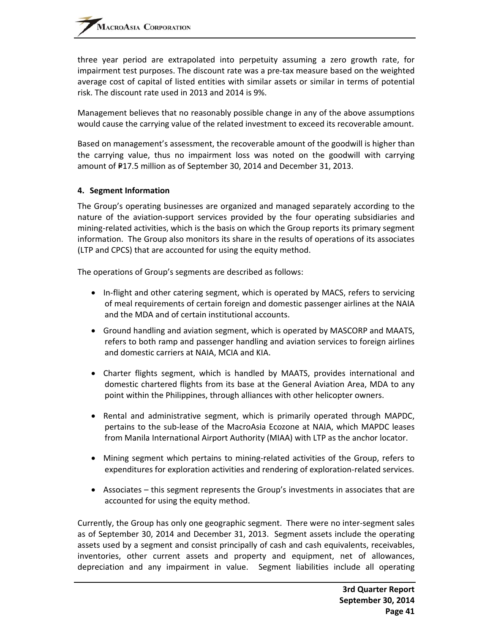three year period are extrapolated into perpetuity assuming a zero growth rate, for impairment test purposes. The discount rate was a pre-tax measure based on the weighted average cost of capital of listed entities with similar assets or similar in terms of potential risk. The discount rate used in 2013 and 2014 is 9%.

Management believes that no reasonably possible change in any of the above assumptions would cause the carrying value of the related investment to exceed its recoverable amount.

Based on management's assessment, the recoverable amount of the goodwill is higher than the carrying value, thus no impairment loss was noted on the goodwill with carrying amount of P17.5 million as of September 30, 2014 and December 31, 2013.

#### **4. Segment Information**

The Group's operating businesses are organized and managed separately according to the nature of the aviation‐support services provided by the four operating subsidiaries and mining-related activities, which is the basis on which the Group reports its primary segment information. The Group also monitors its share in the results of operations of its associates (LTP and CPCS) that are accounted for using the equity method.

The operations of Group's segments are described as follows:

- In-flight and other catering segment, which is operated by MACS, refers to servicing of meal requirements of certain foreign and domestic passenger airlines at the NAIA and the MDA and of certain institutional accounts.
- Ground handling and aviation segment, which is operated by MASCORP and MAATS, refers to both ramp and passenger handling and aviation services to foreign airlines and domestic carriers at NAIA, MCIA and KIA.
- Charter flights segment, which is handled by MAATS, provides international and domestic chartered flights from its base at the General Aviation Area, MDA to any point within the Philippines, through alliances with other helicopter owners.
- Rental and administrative segment, which is primarily operated through MAPDC, pertains to the sub‐lease of the MacroAsia Ecozone at NAIA, which MAPDC leases from Manila International Airport Authority (MIAA) with LTP as the anchor locator.
- Mining segment which pertains to mining-related activities of the Group, refers to expenditures for exploration activities and rendering of exploration‐related services.
- Associates this segment represents the Group's investments in associates that are accounted for using the equity method.

Currently, the Group has only one geographic segment. There were no inter‐segment sales as of September 30, 2014 and December 31, 2013. Segment assets include the operating assets used by a segment and consist principally of cash and cash equivalents, receivables, inventories, other current assets and property and equipment, net of allowances, depreciation and any impairment in value. Segment liabilities include all operating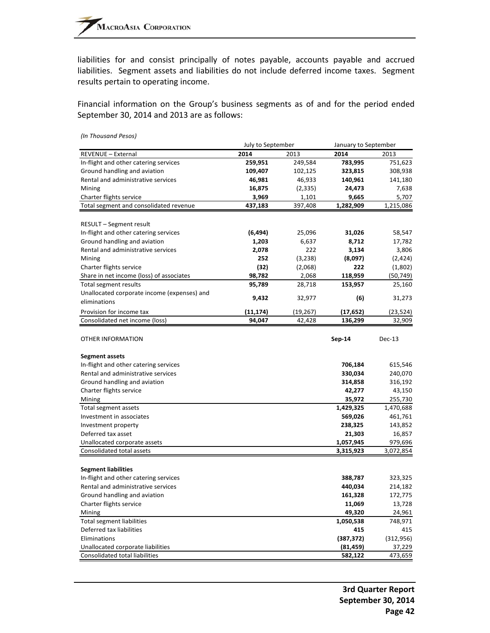liabilities for and consist principally of notes payable, accounts payable and accrued liabilities. Segment assets and liabilities do not include deferred income taxes. Segment results pertain to operating income.

Financial information on the Group's business segments as of and for the period ended September 30, 2014 and 2013 are as follows:

|                                             | July to September |           | January to September |            |  |
|---------------------------------------------|-------------------|-----------|----------------------|------------|--|
| REVENUE - External                          | 2014              | 2013      | 2014                 | 2013       |  |
| In-flight and other catering services       | 259,951           | 249,584   | 783,995              | 751,623    |  |
| Ground handling and aviation                | 109,407           | 102,125   | 323,815              | 308,938    |  |
| Rental and administrative services          | 46,981            | 46,933    | 140,961              | 141,180    |  |
| Mining                                      | 16,875            | (2, 335)  | 24,473               | 7,638      |  |
| Charter flights service                     | 3,969             | 1,101     | 9,665                | 5,707      |  |
| Total segment and consolidated revenue      | 437,183           | 397,408   | 1,282,909            | 1,215,086  |  |
|                                             |                   |           |                      |            |  |
| <b>RESULT - Segment result</b>              |                   |           |                      |            |  |
| In-flight and other catering services       | (6, 494)          | 25,096    | 31,026               | 58,547     |  |
| Ground handling and aviation                | 1,203             | 6,637     | 8,712                | 17,782     |  |
| Rental and administrative services          | 2,078             | 222       | 3,134                | 3,806      |  |
| Mining                                      | 252               | (3, 238)  | (8,097)              | (2, 424)   |  |
| Charter flights service                     | (32)              | (2,068)   | 222                  | (1,802)    |  |
| Share in net income (loss) of associates    | 98,782            | 2,068     | 118,959              | (50, 749)  |  |
| Total segment results                       | 95,789            | 28,718    | 153,957              | 25,160     |  |
| Unallocated corporate income (expenses) and |                   |           |                      |            |  |
| eliminations                                | 9,432             | 32,977    | (6)                  | 31,273     |  |
| Provision for income tax                    | (11,174)          | (19, 267) | (17, 652)            | (23, 524)  |  |
| Consolidated net income (loss)              | 94,047            | 42,428    | 136,299              | 32,909     |  |
|                                             |                   |           |                      |            |  |
| <b>OTHER INFORMATION</b>                    |                   |           | Sep-14               | Dec-13     |  |
|                                             |                   |           |                      |            |  |
| <b>Segment assets</b>                       |                   |           |                      |            |  |
| In-flight and other catering services       |                   |           | 706,184              | 615,546    |  |
| Rental and administrative services          |                   |           | 330,034              | 240,070    |  |
| Ground handling and aviation                |                   |           | 314,858              | 316,192    |  |
| Charter flights service                     |                   |           | 42,277               | 43,150     |  |
| Mining                                      |                   |           | 35,972               | 255,730    |  |
| Total segment assets                        |                   |           | 1,429,325            | 1,470,688  |  |
| Investment in associates                    |                   |           | 569,026              | 461,761    |  |
| Investment property                         |                   |           | 238,325              | 143,852    |  |
| Deferred tax asset                          |                   |           | 21,303               | 16,857     |  |
| Unallocated corporate assets                |                   |           | 1,057,945            | 979,696    |  |
| Consolidated total assets                   |                   |           | 3,315,923            | 3,072,854  |  |
|                                             |                   |           |                      |            |  |
| <b>Segment liabilities</b>                  |                   |           |                      |            |  |
| In-flight and other catering services       |                   |           | 388,787              | 323,325    |  |
| Rental and administrative services          |                   |           | 440,034              | 214,182    |  |
| Ground handling and aviation                |                   |           | 161,328              | 172,775    |  |
| Charter flights service                     |                   |           | 11,069               | 13,728     |  |
| Mining                                      |                   |           | 49,320               | 24,961     |  |
| <b>Total segment liabilities</b>            |                   |           | 1,050,538            | 748,971    |  |
| Deferred tax liabilities                    |                   |           | 415                  | 415        |  |
| Eliminations                                |                   |           | (387, 372)           | (312, 956) |  |
| Unallocated corporate liabilities           |                   |           | (81, 459)            | 37,229     |  |
| Consolidated total liabilities              |                   |           | 582,122              | 473,659    |  |

*(In Thousand Pesos)*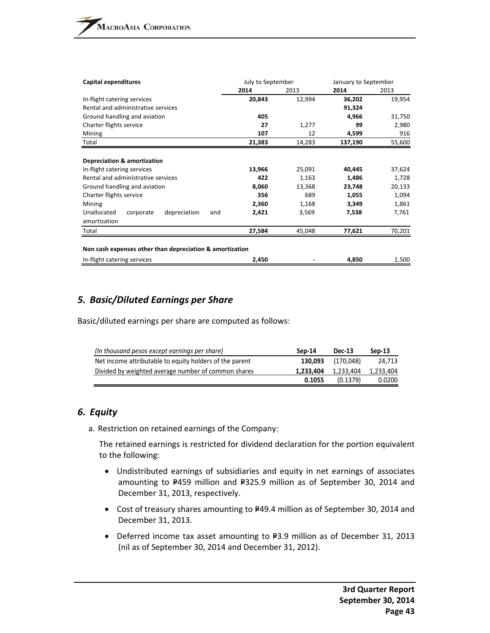| Capital expenditures                                     | July to September |        | January to September |        |  |
|----------------------------------------------------------|-------------------|--------|----------------------|--------|--|
|                                                          | 2014              | 2013   | 2014                 | 2013   |  |
| In-flight catering services                              | 20,843            | 12,994 | 36,202               | 19,954 |  |
| Rental and administrative services                       |                   |        | 91,324               |        |  |
| Ground handling and aviation                             | 405               |        | 4,966                | 31,750 |  |
| Charter flights service                                  | 27                | 1,277  | 99                   | 2,980  |  |
| Mining                                                   | 107               | 12     | 4,599                | 916    |  |
| Total                                                    | 21,383            | 14,283 | 137,190              | 55,600 |  |
|                                                          |                   |        |                      |        |  |
| <b>Depreciation &amp; amortization</b>                   |                   |        |                      |        |  |
| In-flight catering services                              | 13,966            | 25,091 | 40,445               | 37,624 |  |
| Rental and administrative services                       | 422               | 1,163  | 1,486                | 1,728  |  |
| Ground handling and aviation                             | 8,060             | 13,368 | 23,748               | 20,133 |  |
| Charter flights service                                  | 356               | 689    | 1,055                | 1,094  |  |
| Mining                                                   | 2,360             | 1,168  | 3,349                | 1,861  |  |
| Unallocated<br>depreciation<br>corporate<br>and          | 2,421             | 3,569  | 7,538                | 7,761  |  |
| amortization                                             |                   |        |                      |        |  |
| Total                                                    | 27,584            | 45,048 | 77,621               | 70,201 |  |
|                                                          |                   |        |                      |        |  |
| Non cash expenses other than depreciation & amortization |                   |        |                      |        |  |
| In-flight catering services                              | 2,450             |        | 4,850                | 1,500  |  |

# *5. Basic/Diluted Earnings per Share*

Basic/diluted earnings per share are computed as follows:

| (In thousand pesos except earnings per share)           | Sep-14    | Dec-13    | Sep-13    |
|---------------------------------------------------------|-----------|-----------|-----------|
| Net income attributable to equity holders of the parent | 130.093   | (170.048) | 24.713    |
| Divided by weighted average number of common shares     | 1.233.404 | 1.233.404 | 1.233.404 |
|                                                         | 0.1055    | (0.1379)  | 0.0200    |

# *6. Equity*

a. Restriction on retained earnings of the Company:

The retained earnings is restricted for dividend declaration for the portion equivalent to the following:

- Undistributed earnings of subsidiaries and equity in net earnings of associates amounting to P459 million and P325.9 million as of September 30, 2014 and December 31, 2013, respectively.
- Cost of treasury shares amounting to P49.4 million as of September 30, 2014 and December 31, 2013.
- Deferred income tax asset amounting to P3.9 million as of December 31, 2013 (nil as of September 30, 2014 and December 31, 2012).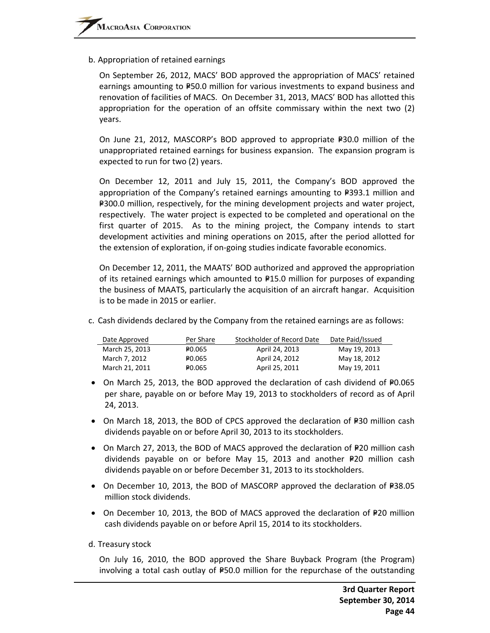b. Appropriation of retained earnings

On September 26, 2012, MACS' BOD approved the appropriation of MACS' retained earnings amounting to P50.0 million for various investments to expand business and renovation of facilities of MACS. On December 31, 2013, MACS' BOD has allotted this appropriation for the operation of an offsite commissary within the next two (2) years.

On June 21, 2012, MASCORP's BOD approved to appropriate  $P=30.0$  million of the unappropriated retained earnings for business expansion. The expansion program is expected to run for two (2) years.

On December 12, 2011 and July 15, 2011, the Company's BOD approved the appropriation of the Company's retained earnings amounting to  $P=393.1$  million and P300.0 million, respectively, for the mining development projects and water project, respectively. The water project is expected to be completed and operational on the first quarter of 2015. As to the mining project, the Company intends to start development activities and mining operations on 2015, after the period allotted for the extension of exploration, if on‐going studies indicate favorable economics.

On December 12, 2011, the MAATS' BOD authorized and approved the appropriation of its retained earnings which amounted to  $P15.0$  million for purposes of expanding the business of MAATS, particularly the acquisition of an aircraft hangar. Acquisition is to be made in 2015 or earlier.

c. Cash dividends declared by the Company from the retained earnings are as follows:

| Date Approved  | Per Share          | Stockholder of Record Date | Date Paid/Issued |
|----------------|--------------------|----------------------------|------------------|
| March 25, 2013 | PO.065             | April 24, 2013             | May 19, 2013     |
| March 7, 2012  | P <sub>0.065</sub> | April 24, 2012             | May 18, 2012     |
| March 21, 2011 | P <sub>0.065</sub> | April 25, 2011             | May 19, 2011     |

- On March 25, 2013, the BOD approved the declaration of cash dividend of  $P0.065$ per share, payable on or before May 19, 2013 to stockholders of record as of April 24, 2013.
- On March 18, 2013, the BOD of CPCS approved the declaration of P30 million cash dividends payable on or before April 30, 2013 to its stockholders.
- On March 27, 2013, the BOD of MACS approved the declaration of  $P20$  million cash dividends payable on or before May 15, 2013 and another  $P20$  million cash dividends payable on or before December 31, 2013 to its stockholders.
- On December 10, 2013, the BOD of MASCORP approved the declaration of  $E$ 38.05 million stock dividends.
- On December 10, 2013, the BOD of MACS approved the declaration of P20 million cash dividends payable on or before April 15, 2014 to its stockholders.
- d. Treasury stock

On July 16, 2010, the BOD approved the Share Buyback Program (the Program) involving a total cash outlay of  $P$ 50.0 million for the repurchase of the outstanding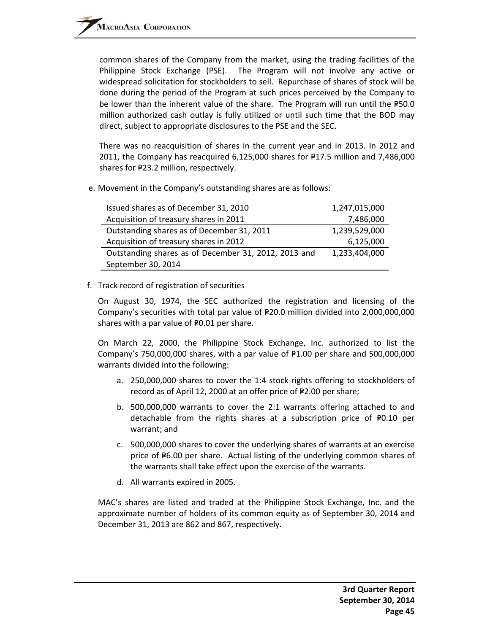common shares of the Company from the market, using the trading facilities of the Philippine Stock Exchange (PSE). The Program will not involve any active or widespread solicitation for stockholders to sell. Repurchase of shares of stock will be done during the period of the Program at such prices perceived by the Company to be lower than the inherent value of the share. The Program will run until the  $P50.0$ million authorized cash outlay is fully utilized or until such time that the BOD may direct, subject to appropriate disclosures to the PSE and the SEC.

There was no reacquisition of shares in the current year and in 2013. In 2012 and 2011, the Company has reacquired  $6,125,000$  shares for  $P17.5$  million and 7,486,000 shares for P23.2 million, respectively.

e. Movement in the Company's outstanding shares are as follows:

| Issued shares as of December 31, 2010                | 1,247,015,000 |
|------------------------------------------------------|---------------|
| Acquisition of treasury shares in 2011               | 7,486,000     |
| Outstanding shares as of December 31, 2011           | 1,239,529,000 |
| Acquisition of treasury shares in 2012               | 6,125,000     |
| Outstanding shares as of December 31, 2012, 2013 and | 1,233,404,000 |
| September 30, 2014                                   |               |

### f. Track record of registration of securities

On August 30, 1974, the SEC authorized the registration and licensing of the Company's securities with total par value of P20.0 million divided into 2,000,000,000 shares with a par value of  $P0.01$  per share.

On March 22, 2000, the Philippine Stock Exchange, Inc. authorized to list the Company's 750,000,000 shares, with a par value of  $F1.00$  per share and 500,000,000 warrants divided into the following:

- a. 250,000,000 shares to cover the 1:4 stock rights offering to stockholders of record as of April 12, 2000 at an offer price of  $P2.00$  per share;
- b. 500,000,000 warrants to cover the 2:1 warrants offering attached to and detachable from the rights shares at a subscription price of  $P0.10$  per warrant; and
- c. 500,000,000 shares to cover the underlying shares of warrants at an exercise price of  $P6.00$  per share. Actual listing of the underlying common shares of the warrants shall take effect upon the exercise of the warrants.
- d. All warrants expired in 2005.

MAC's shares are listed and traded at the Philippine Stock Exchange, Inc. and the approximate number of holders of its common equity as of September 30, 2014 and December 31, 2013 are 862 and 867, respectively.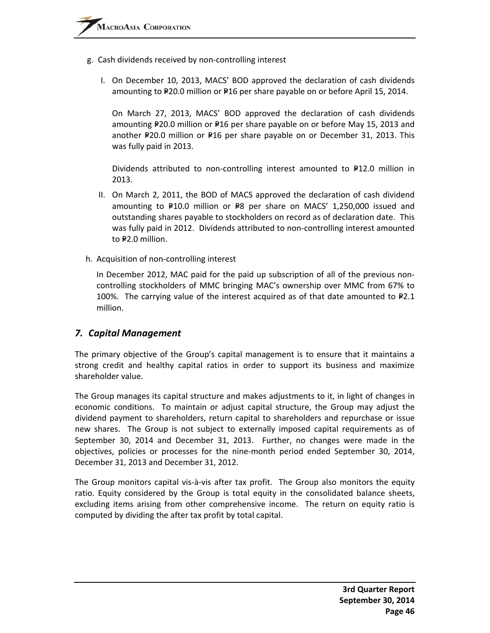- g. Cash dividends received by non‐controlling interest
	- I. On December 10, 2013, MACS' BOD approved the declaration of cash dividends amounting to P20.0 million or P16 per share payable on or before April 15, 2014.

On March 27, 2013, MACS' BOD approved the declaration of cash dividends amounting P20.0 million or P16 per share payable on or before May 15, 2013 and another P20.0 million or P16 per share payable on or December 31, 2013. This was fully paid in 2013.

Dividends attributed to non-controlling interest amounted to  $F12.0$  million in 2013.

- II. On March 2, 2011, the BOD of MACS approved the declaration of cash dividend amounting to  $P10.0$  million or  $P8$  per share on MACS' 1,250,000 issued and outstanding shares payable to stockholders on record as of declaration date. This was fully paid in 2012. Dividends attributed to non-controlling interest amounted to P2.0 million.
- h. Acquisition of non‐controlling interest

In December 2012, MAC paid for the paid up subscription of all of the previous non‐ controlling stockholders of MMC bringing MAC's ownership over MMC from 67% to 100%. The carrying value of the interest acquired as of that date amounted to  $P2.1$ million.

## *7. Capital Management*

The primary objective of the Group's capital management is to ensure that it maintains a strong credit and healthy capital ratios in order to support its business and maximize shareholder value.

The Group manages its capital structure and makes adjustments to it, in light of changes in economic conditions. To maintain or adjust capital structure, the Group may adjust the dividend payment to shareholders, return capital to shareholders and repurchase or issue new shares. The Group is not subject to externally imposed capital requirements as of September 30, 2014 and December 31, 2013. Further, no changes were made in the objectives, policies or processes for the nine‐month period ended September 30, 2014, December 31, 2013 and December 31, 2012.

The Group monitors capital vis-à-vis after tax profit. The Group also monitors the equity ratio. Equity considered by the Group is total equity in the consolidated balance sheets, excluding items arising from other comprehensive income. The return on equity ratio is computed by dividing the after tax profit by total capital.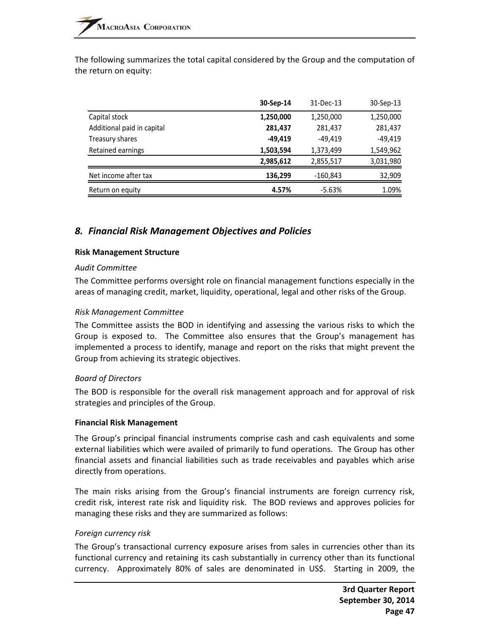The following summarizes the total capital considered by the Group and the computation of the return on equity:

|                            | 30-Sep-14 | 31-Dec-13 | 30-Sep-13 |
|----------------------------|-----------|-----------|-----------|
| Capital stock              | 1,250,000 | 1,250,000 | 1,250,000 |
| Additional paid in capital | 281,437   | 281,437   | 281,437   |
| Treasury shares            | -49.419   | $-49.419$ | -49,419   |
| Retained earnings          | 1,503,594 | 1,373,499 | 1,549,962 |
|                            | 2,985,612 | 2,855,517 | 3,031,980 |
| Net income after tax       | 136,299   | -160,843  | 32,909    |
| Return on equity           | 4.57%     | $-5.63%$  | 1.09%     |

# *8. Financial Risk Management Objectives and Policies*

#### **Risk Management Structure**

#### *Audit Committee*

The Committee performs oversight role on financial management functions especially in the areas of managing credit, market, liquidity, operational, legal and other risks of the Group.

#### *Risk Management Committee*

The Committee assists the BOD in identifying and assessing the various risks to which the Group is exposed to. The Committee also ensures that the Group's management has implemented a process to identify, manage and report on the risks that might prevent the Group from achieving its strategic objectives.

#### *Board of Directors*

The BOD is responsible for the overall risk management approach and for approval of risk strategies and principles of the Group.

#### **Financial Risk Management**

The Group's principal financial instruments comprise cash and cash equivalents and some external liabilities which were availed of primarily to fund operations. The Group has other financial assets and financial liabilities such as trade receivables and payables which arise directly from operations.

The main risks arising from the Group's financial instruments are foreign currency risk, credit risk, interest rate risk and liquidity risk. The BOD reviews and approves policies for managing these risks and they are summarized as follows:

#### *Foreign currency risk*

The Group's transactional currency exposure arises from sales in currencies other than its functional currency and retaining its cash substantially in currency other than its functional currency. Approximately 80% of sales are denominated in US\$. Starting in 2009, the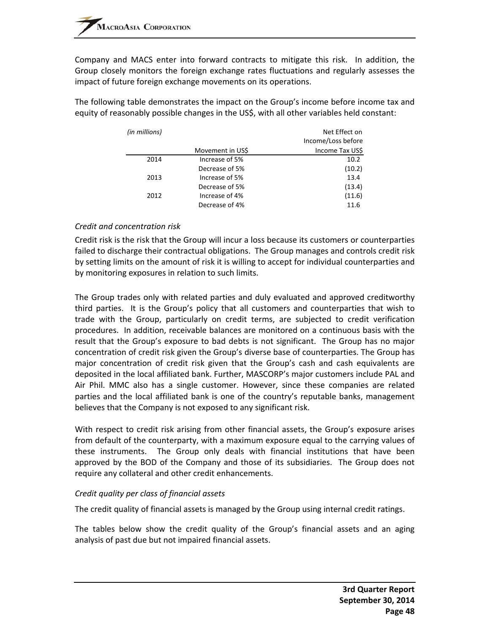Company and MACS enter into forward contracts to mitigate this risk. In addition, the Group closely monitors the foreign exchange rates fluctuations and regularly assesses the impact of future foreign exchange movements on its operations.

The following table demonstrates the impact on the Group's income before income tax and equity of reasonably possible changes in the US\$, with all other variables held constant:

| (in millions) |                  | Net Effect on      |
|---------------|------------------|--------------------|
|               |                  | Income/Loss before |
|               | Movement in US\$ | Income Tax US\$    |
| 2014          | Increase of 5%   | 10.2               |
|               | Decrease of 5%   | (10.2)             |
| 2013          | Increase of 5%   | 13.4               |
|               | Decrease of 5%   | (13.4)             |
| 2012          | Increase of 4%   | (11.6)             |
|               | Decrease of 4%   | 11.6               |

### *Credit and concentration risk*

Credit risk is the risk that the Group will incur a loss because its customers or counterparties failed to discharge their contractual obligations. The Group manages and controls credit risk by setting limits on the amount of risk it is willing to accept for individual counterparties and by monitoring exposures in relation to such limits.

The Group trades only with related parties and duly evaluated and approved creditworthy third parties. It is the Group's policy that all customers and counterparties that wish to trade with the Group, particularly on credit terms, are subjected to credit verification procedures. In addition, receivable balances are monitored on a continuous basis with the result that the Group's exposure to bad debts is not significant. The Group has no major concentration of credit risk given the Group's diverse base of counterparties. The Group has major concentration of credit risk given that the Group's cash and cash equivalents are deposited in the local affiliated bank. Further, MASCORP's major customers include PAL and Air Phil. MMC also has a single customer. However, since these companies are related parties and the local affiliated bank is one of the country's reputable banks, management believes that the Company is not exposed to any significant risk.

With respect to credit risk arising from other financial assets, the Group's exposure arises from default of the counterparty, with a maximum exposure equal to the carrying values of these instruments. The Group only deals with financial institutions that have been approved by the BOD of the Company and those of its subsidiaries. The Group does not require any collateral and other credit enhancements.

#### *Credit quality per class of financial assets*

The credit quality of financial assets is managed by the Group using internal credit ratings.

The tables below show the credit quality of the Group's financial assets and an aging analysis of past due but not impaired financial assets.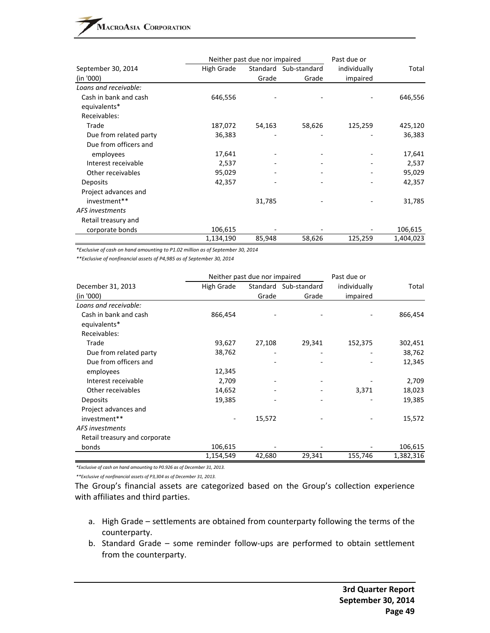|                        | Neither past due nor impaired |        |                       | Past due or  |           |  |
|------------------------|-------------------------------|--------|-----------------------|--------------|-----------|--|
| September 30, 2014     | High Grade                    |        | Standard Sub-standard | individually | Total     |  |
| (in '000)              |                               | Grade  | Grade                 | impaired     |           |  |
| Loans and receivable:  |                               |        |                       |              |           |  |
| Cash in bank and cash  | 646,556                       |        |                       |              | 646,556   |  |
| equivalents*           |                               |        |                       |              |           |  |
| Receivables:           |                               |        |                       |              |           |  |
| Trade                  | 187,072                       | 54,163 | 58,626                | 125,259      | 425,120   |  |
| Due from related party | 36,383                        |        |                       |              | 36,383    |  |
| Due from officers and  |                               |        |                       |              |           |  |
| employees              | 17,641                        |        |                       |              | 17,641    |  |
| Interest receivable    | 2,537                         |        |                       |              | 2,537     |  |
| Other receivables      | 95,029                        |        |                       |              | 95,029    |  |
| Deposits               | 42,357                        |        |                       |              | 42,357    |  |
| Project advances and   |                               |        |                       |              |           |  |
| investment**           |                               | 31,785 |                       |              | 31,785    |  |
| AFS investments        |                               |        |                       |              |           |  |
| Retail treasury and    |                               |        |                       |              |           |  |
| corporate bonds        | 106,615                       |        |                       |              | 106,615   |  |
|                        | 1,134,190                     | 85,948 | 58,626                | 125,259      | 1,404,023 |  |

*\*Exclusive of cash on hand amounting to P1.02 million as of September 30, 2014*

*\*\*Exclusive of nonfinancial assets of P4,985 as of September 30, 2014*

|                               | Neither past due nor impaired |        |                       | Past due or  |           |  |
|-------------------------------|-------------------------------|--------|-----------------------|--------------|-----------|--|
| December 31, 2013             | High Grade                    |        | Standard Sub-standard | individually | Total     |  |
| (in '000)                     |                               | Grade  | Grade                 | impaired     |           |  |
| Loans and receivable:         |                               |        |                       |              |           |  |
| Cash in bank and cash         | 866,454                       |        |                       |              | 866,454   |  |
| equivalents*                  |                               |        |                       |              |           |  |
| Receivables:                  |                               |        |                       |              |           |  |
| Trade                         | 93,627                        | 27,108 | 29,341                | 152,375      | 302,451   |  |
| Due from related party        | 38,762                        |        |                       |              | 38,762    |  |
| Due from officers and         |                               |        |                       |              | 12,345    |  |
| employees                     | 12,345                        |        |                       |              |           |  |
| Interest receivable           | 2,709                         |        |                       |              | 2,709     |  |
| Other receivables             | 14,652                        |        |                       | 3,371        | 18,023    |  |
| Deposits                      | 19,385                        |        |                       |              | 19,385    |  |
| Project advances and          |                               |        |                       |              |           |  |
| investment**                  |                               | 15,572 |                       |              | 15,572    |  |
| AFS investments               |                               |        |                       |              |           |  |
| Retail treasury and corporate |                               |        |                       |              |           |  |
| bonds                         | 106,615                       |        |                       |              | 106,615   |  |
|                               | 1,154,549                     | 42,680 | 29,341                | 155,746      | 1,382,316 |  |

*\*Exclusive of cash on hand amounting to P0.926 as of December 31, 2013.*

*\*\*Exclusive of nonfinancial assets of P3,304 as of December 31, 2013.*

The Group's financial assets are categorized based on the Group's collection experience with affiliates and third parties.

- a. High Grade settlements are obtained from counterparty following the terms of the counterparty.
- b. Standard Grade some reminder follow-ups are performed to obtain settlement from the counterparty.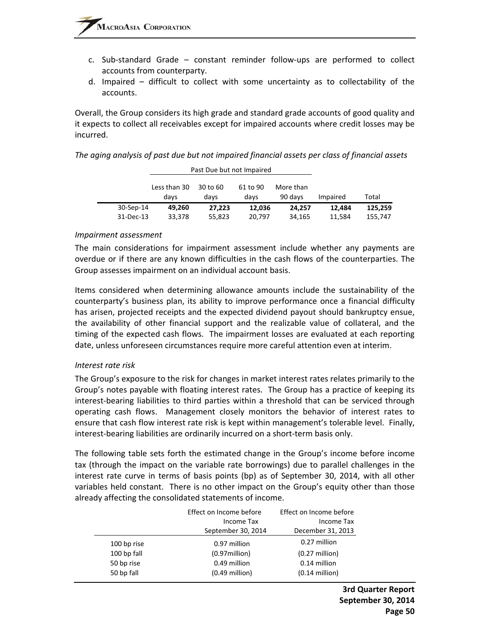- c. Sub‐standard Grade constant reminder follow‐ups are performed to collect accounts from counterparty.
- d. Impaired difficult to collect with some uncertainty as to collectability of the accounts.

Overall, the Group considers its high grade and standard grade accounts of good quality and it expects to collect all receivables except for impaired accounts where credit losses may be incurred.

*The aging analysis of past due but not impaired financial assets per class of financial assets*

|           |                      | Past Due but not Impaired |                  |                      |          |         |
|-----------|----------------------|---------------------------|------------------|----------------------|----------|---------|
|           | Less than 30<br>days | 30 to 60<br>days          | 61 to 90<br>days | More than<br>90 days | Impaired | Total   |
| 30-Sep-14 | 49.260               | 27.223                    | 12,036           | 24.257               | 12.484   | 125,259 |
| 31-Dec-13 | 33,378               | 55,823                    | 20,797           | 34,165               | 11.584   | 155,747 |

#### *Impairment assessment*

The main considerations for impairment assessment include whether any payments are overdue or if there are any known difficulties in the cash flows of the counterparties. The Group assesses impairment on an individual account basis.

Items considered when determining allowance amounts include the sustainability of the counterparty's business plan, its ability to improve performance once a financial difficulty has arisen, projected receipts and the expected dividend payout should bankruptcy ensue, the availability of other financial support and the realizable value of collateral, and the timing of the expected cash flows. The impairment losses are evaluated at each reporting date, unless unforeseen circumstances require more careful attention even at interim.

#### *Interest rate risk*

The Group's exposure to the risk for changes in market interest rates relates primarily to the Group's notes payable with floating interest rates. The Group has a practice of keeping its interest‐bearing liabilities to third parties within a threshold that can be serviced through operating cash flows. Management closely monitors the behavior of interest rates to ensure that cash flow interest rate risk is kept within management's tolerable level. Finally, interest‐bearing liabilities are ordinarily incurred on a short‐term basis only.

The following table sets forth the estimated change in the Group's income before income tax (through the impact on the variable rate borrowings) due to parallel challenges in the interest rate curve in terms of basis points (bp) as of September 30, 2014, with all other variables held constant. There is no other impact on the Group's equity other than those already affecting the consolidated statements of income.

|             | Effect on Income before | Effect on Income before  |
|-------------|-------------------------|--------------------------|
|             | Income Tax              | Income Tax               |
|             | September 30, 2014      | December 31, 2013        |
| 100 bp rise | 0.97 million            | 0.27 million             |
| 100 bp fall | $(0.97$ million $)$     | $(0.27 \text{ million})$ |
| 50 bp rise  | 0.49 million            | 0.14 million             |
| 50 bp fall  | $(0.49$ million)        | $(0.14$ million)         |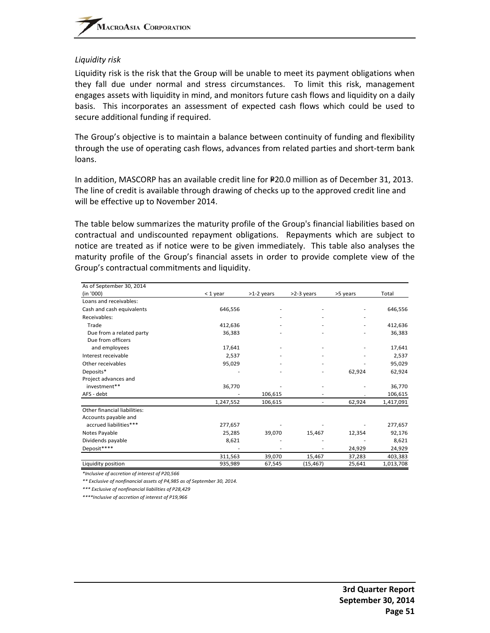#### *Liquidity risk*

Liquidity risk is the risk that the Group will be unable to meet its payment obligations when they fall due under normal and stress circumstances. To limit this risk, management engages assets with liquidity in mind, and monitors future cash flows and liquidity on a daily basis. This incorporates an assessment of expected cash flows which could be used to secure additional funding if required.

The Group's objective is to maintain a balance between continuity of funding and flexibility through the use of operating cash flows, advances from related parties and short‐term bank loans.

In addition, MASCORP has an available credit line for P20.0 million as of December 31, 2013. The line of credit is available through drawing of checks up to the approved credit line and will be effective up to November 2014.

The table below summarizes the maturity profile of the Group's financial liabilities based on contractual and undiscounted repayment obligations. Repayments which are subject to notice are treated as if notice were to be given immediately. This table also analyses the maturity profile of the Group's financial assets in order to provide complete view of the Group's contractual commitments and liquidity.

| As of September 30, 2014     |           |            |            |          |           |
|------------------------------|-----------|------------|------------|----------|-----------|
| (in '000)                    | < 1 year  | >1-2 years | >2-3 years | >5 years | Total     |
| Loans and receivables:       |           |            |            |          |           |
| Cash and cash equivalents    | 646,556   |            |            |          | 646,556   |
| Receivables:                 |           |            |            |          |           |
| Trade                        | 412,636   |            |            |          | 412,636   |
| Due from a related party     | 36,383    |            |            |          | 36,383    |
| Due from officers            |           |            |            |          |           |
| and employees                | 17,641    |            |            |          | 17,641    |
| Interest receivable          | 2,537     |            |            |          | 2,537     |
| Other receivables            | 95,029    |            |            |          | 95,029    |
| Deposits*                    |           |            |            | 62,924   | 62,924    |
| Project advances and         |           |            |            |          |           |
| investment**                 | 36,770    |            |            |          | 36,770    |
| AFS - debt                   |           | 106,615    |            |          | 106,615   |
|                              | 1,247,552 | 106,615    |            | 62,924   | 1,417,091 |
| Other financial liabilities: |           |            |            |          |           |
| Accounts payable and         |           |            |            |          |           |
| accrued liabilities***       | 277,657   |            |            |          | 277,657   |
| Notes Payable                | 25,285    | 39,070     | 15,467     | 12,354   | 92,176    |
| Dividends payable            | 8,621     |            |            |          | 8,621     |
| Deposit****                  |           |            |            | 24,929   | 24,929    |
|                              | 311,563   | 39,070     | 15,467     | 37,283   | 403,383   |
| Liquidity position           | 935,989   | 67,545     | (15, 467)  | 25,641   | 1,013,708 |

*\*Inclusive of accretion of interest of P20,566*

*\*\* Exclusive of nonfinancial assets of P4,985 as of September 30, 2014.*

*\*\*\* Exclusive of nonfinancial liabilities of P28,429*

*\*\*\*\*Inclusive of accretion of interest of P19,966*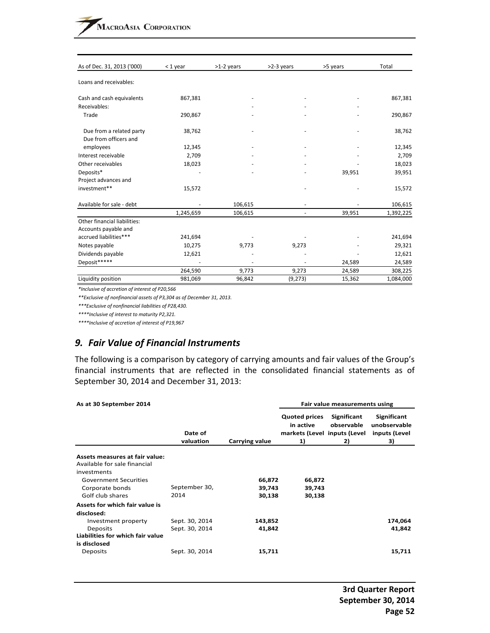| As of Dec. 31, 2013 ('000)                           | $<$ 1 year | >1-2 years | >2-3 years | >5 years | Total     |
|------------------------------------------------------|------------|------------|------------|----------|-----------|
| Loans and receivables:                               |            |            |            |          |           |
| Cash and cash equivalents                            | 867,381    |            |            |          | 867,381   |
| Receivables:<br>Trade                                | 290,867    |            |            |          | 290,867   |
|                                                      |            |            |            |          |           |
| Due from a related party<br>Due from officers and    | 38,762     |            |            |          | 38,762    |
| employees                                            | 12,345     |            |            |          | 12,345    |
| Interest receivable                                  | 2,709      |            |            |          | 2,709     |
| Other receivables                                    | 18,023     |            |            |          | 18,023    |
| Deposits*                                            |            |            |            | 39,951   | 39,951    |
| Project advances and                                 |            |            |            |          |           |
| investment**                                         | 15,572     |            |            |          | 15,572    |
| Available for sale - debt                            |            | 106,615    |            |          | 106,615   |
|                                                      | 1,245,659  | 106,615    |            | 39,951   | 1,392,225 |
| Other financial liabilities:<br>Accounts payable and |            |            |            |          |           |
| accrued liabilities***                               | 241,694    |            |            |          | 241,694   |
| Notes payable                                        | 10,275     | 9,773      | 9,273      |          | 29,321    |
| Dividends payable                                    | 12,621     |            |            |          | 12,621    |
| Deposit*****                                         |            |            |            | 24,589   | 24,589    |
|                                                      | 264,590    | 9,773      | 9,273      | 24,589   | 308,225   |
| Liquidity position                                   | 981,069    | 96,842     | (9, 273)   | 15,362   | 1,084,000 |

*\*Inclusive of accretion of interest of P20,566*

*\*\*Exclusive of nonfinancial assets of P3,304 as of December 31, 2013.*

*\*\*\*Exclusive of nonfinancial liabilities of P28,430.*

*\*\*\*\*Inclusive of interest to maturity P2,321.*

*\*\*\*\*Inclusive of accretion of interest of P19,967*

#### *9. Fair Value of Financial Instruments*

The following is a comparison by category of carrying amounts and fair values of the Group's financial instruments that are reflected in the consolidated financial statements as of September 30, 2014 and December 31, 2013:

| As at 30 September 2014                                                                                                                              |                                  |                            |                                                                         | Fair value measurements using   |                                                           |  |  |
|------------------------------------------------------------------------------------------------------------------------------------------------------|----------------------------------|----------------------------|-------------------------------------------------------------------------|---------------------------------|-----------------------------------------------------------|--|--|
|                                                                                                                                                      | Date of<br>valuation             | Carrying value             | <b>Quoted prices</b><br>in active<br>markets (Level inputs (Level<br>1) | Significant<br>observable<br>2) | <b>Significant</b><br>unobservable<br>inputs (Level<br>3) |  |  |
| Assets measures at fair value:<br>Available for sale financial<br>investments<br><b>Government Securities</b><br>Corporate bonds<br>Golf club shares | September 30,<br>2014            | 66,872<br>39,743<br>30,138 | 66,872<br>39,743<br>30,138                                              |                                 |                                                           |  |  |
| Assets for which fair value is<br>disclosed:<br>Investment property<br>Deposits<br>Liabilities for which fair value<br>is disclosed                  | Sept. 30, 2014<br>Sept. 30, 2014 | 143,852<br>41,842          |                                                                         |                                 | 174,064<br>41,842                                         |  |  |
| Deposits                                                                                                                                             | Sept. 30, 2014                   | 15,711                     |                                                                         |                                 | 15,711                                                    |  |  |